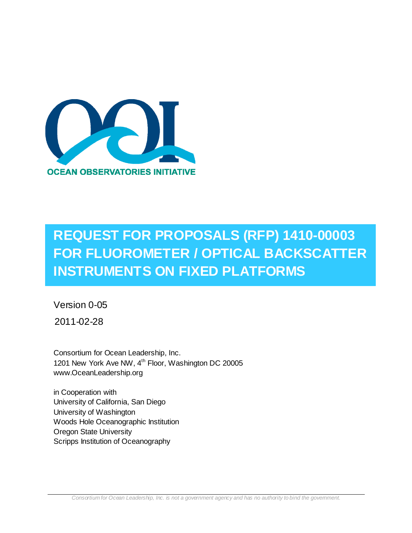

# **REQUEST FOR PROPOSALS (RFP) 1410-00003 FOR FLUOROMETER / OPTICAL BACKSCATTER INSTRUMENTS ON FIXED PLATFORMS**

Version 0-05

2011-02-28

Consortium for Ocean Leadership, Inc. 1201 New York Ave NW, 4<sup>th</sup> Floor, Washington DC 20005 www.OceanLeadership.org

in Cooperation with University of California, San Diego University of Washington Woods Hole Oceanographic Institution Oregon State University Scripps Institution of Oceanography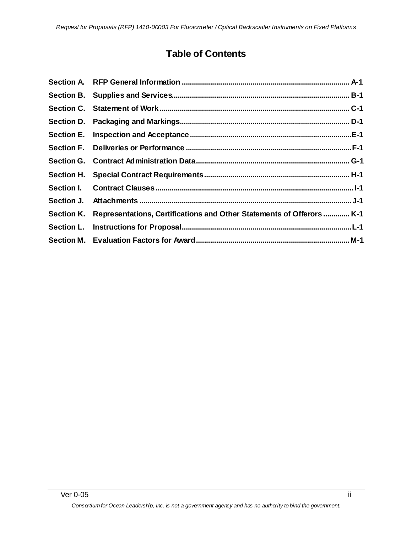## **Table of Contents**

| Section K. Representations, Certifications and Other Statements of Offerors  K-1 |
|----------------------------------------------------------------------------------|
|                                                                                  |
|                                                                                  |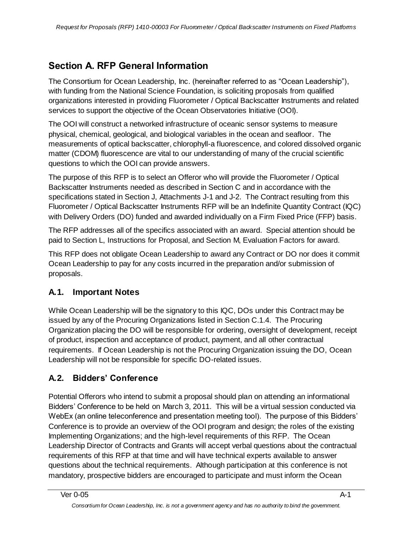## <span id="page-2-0"></span>**Section A. RFP General Information**

The Consortium for Ocean Leadership, Inc. (hereinafter referred to as "Ocean Leadership"), with funding from the National Science Foundation, is soliciting proposals from qualified organizations interested in providing Fluorometer / Optical Backscatter Instruments and related services to support the objective of the Ocean Observatories Initiative (OOI).

The OOI will construct a networked infrastructure of oceanic sensor systems to measure physical, chemical, geological, and biological variables in the ocean and seafloor. The measurements of optical backscatter, chlorophyll-a fluorescence, and colored dissolved organic matter (CDOM) fluorescence are vital to our understanding of many of the crucial scientific questions to which the OOI can provide answers.

The purpose of this RFP is to select an Offeror who will provide the Fluorometer / Optical Backscatter Instruments needed as described in Section C and in accordance with the specifications stated in Section J, Attachments J-1 and J-2. The Contract resulting from this Fluorometer / Optical Backscatter Instruments RFP will be an Indefinite Quantity Contract (IQC) with Delivery Orders (DO) funded and awarded individually on a Firm Fixed Price (FFP) basis.

The RFP addresses all of the specifics associated with an award. Special attention should be paid to Section L, Instructions for Proposal, and Section M, Evaluation Factors for award.

This RFP does not obligate Ocean Leadership to award any Contract or DO nor does it commit Ocean Leadership to pay for any costs incurred in the preparation and/or submission of proposals.

## **A.1. Important Notes**

While Ocean Leadership will be the signatory to this IQC, DOs under this Contract may be issued by any of the Procuring Organizations listed in Section C.1.4. The Procuring Organization placing the DO will be responsible for ordering, oversight of development, receipt of product, inspection and acceptance of product, payment, and all other contractual requirements. If Ocean Leadership is not the Procuring Organization issuing the DO, Ocean Leadership will not be responsible for specific DO-related issues.

## **A.2. Bidders' Conference**

Potential Offerors who intend to submit a proposal should plan on attending an informational Bidders' Conference to be held on March 3, 2011. This will be a virtual session conducted via WebEx (an online teleconference and presentation meeting tool). The purpose of this Bidders' Conference is to provide an overview of the OOI program and design; the roles of the existing Implementing Organizations; and the high-level requirements of this RFP. The Ocean Leadership Director of Contracts and Grants will accept verbal questions about the contractual requirements of this RFP at that time and will have technical experts available to answer questions about the technical requirements. Although participation at this conference is not mandatory, prospective bidders are encouraged to participate and must inform the Ocean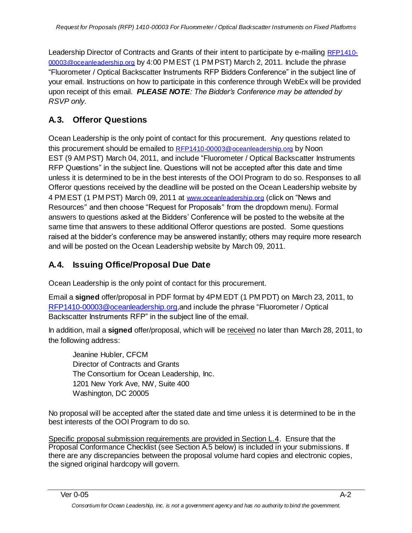Leadership Director of Contracts and Grants of their intent to participate by e-mailing [RFP1410-](mailto:RFP1410-00003@oceanleadership.org) [00003@oceanleadership.org](mailto:RFP1410-00003@oceanleadership.org) by 4:00 PM EST (1 PM PST) March 2, 2011. Include the phrase ―Fluorometer / Optical Backscatter Instruments RFP Bidders Conference‖ in the subject line of your email. Instructions on how to participate in this conference through WebEx will be provided upon receipt of this email. *PLEASE NOTE: The Bidder's Conference may be attended by RSVP only.*

## **A.3. Offeror Questions**

Ocean Leadership is the only point of contact for this procurement. Any questions related to this procurement should be emailed to [RFP1410-00003@oceanleadership.org](mailto:RFP1410-00003@oceanleadership.org) by Noon EST (9 AM PST) March 04, 2011, and include "Fluorometer / Optical Backscatter Instruments RFP Questions" in the subject line. Questions will not be accepted after this date and time unless it is determined to be in the best interests of the OOI Program to do so. Responses to all Offeror questions received by the deadline will be posted on the Ocean Leadership website by 4 PM EST (1 PM PST) March 09, 2011 at [www.oceanleadership.org](http://www.oceanleadership.org/) (click on "News and Resources" and then choose "Request for Proposals" from the dropdown menu). Formal answers to questions asked at the Bidders' Conference will be posted to the website at the same time that answers to these additional Offeror questions are posted. Some questions raised at the bidder's conference may be answered instantly; others may require more research and will be posted on the Ocean Leadership website by March 09, 2011.

## **A.4. Issuing Office/Proposal Due Date**

Ocean Leadership is the only point of contact for this procurement.

Email a **signed** offer/proposal in PDF format by 4PM EDT (1 PM PDT) on March 23, 2011, to [RFP1410-00003@oceanleadership.org,](mailto:RFP1410-00003@oceanleadership.org)and include the phrase "Fluorometer / Optical Backscatter Instruments RFP" in the subject line of the email.

In addition, mail a **signed** offer/proposal, which will be received no later than March 28, 2011, to the following address:

Jeanine Hubler, CFCM Director of Contracts and Grants The Consortium for Ocean Leadership, Inc. 1201 New York Ave, NW, Suite 400 Washington, DC 20005

No proposal will be accepted after the stated date and time unless it is determined to be in the best interests of the OOI Program to do so.

Specific proposal submission requirements are provided in Section L.4. Ensure that the Proposal Conformance Checklist (see Section A.5 below) is included in your submissions. If there are any discrepancies between the proposal volume hard copies and electronic copies, the signed original hardcopy will govern.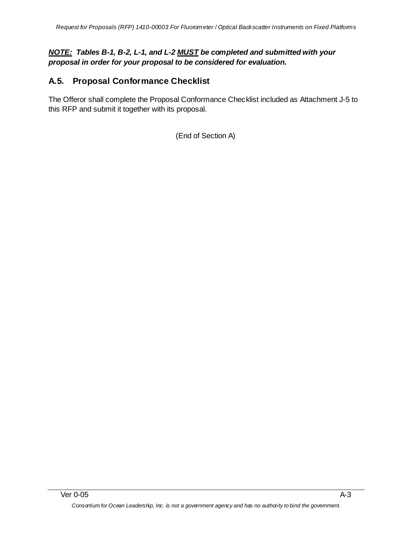#### *NOTE: Tables B-1, B-2, L-1, and L-2 MUST be completed and submitted with your proposal in order for your proposal to be considered for evaluation.*

## **A.5. Proposal Conformance Checklist**

The Offeror shall complete the Proposal Conformance Checklist included as Attachment J-5 to this RFP and submit it together with its proposal.

(End of Section A)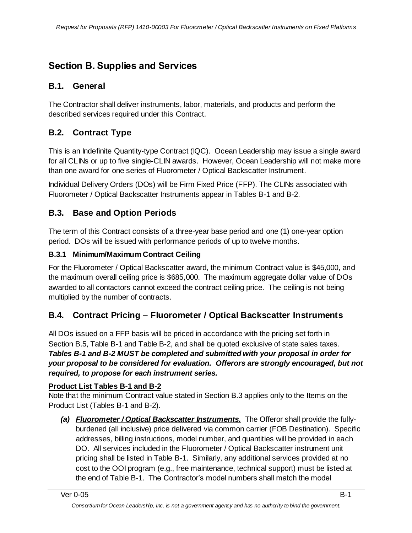## <span id="page-5-0"></span>**Section B. Supplies and Services**

## **B.1. General**

The Contractor shall deliver instruments, labor, materials, and products and perform the described services required under this Contract.

## **B.2. Contract Type**

This is an Indefinite Quantity-type Contract (IQC). Ocean Leadership may issue a single award for all CLINs or up to five single-CLIN awards. However, Ocean Leadership will not make more than one award for one series of Fluorometer / Optical Backscatter Instrument.

Individual Delivery Orders (DOs) will be Firm Fixed Price (FFP). The CLINs associated with Fluorometer / Optical Backscatter Instruments appear in Tables B-1 and B-2.

## **B.3. Base and Option Periods**

The term of this Contract consists of a three-year base period and one (1) one-year option period. DOs will be issued with performance periods of up to twelve months.

#### **B.3.1 Minimum/Maximum Contract Ceiling**

For the Fluorometer / Optical Backscatter award, the minimum Contract value is \$45,000, and the maximum overall ceiling price is \$685,000. The maximum aggregate dollar value of DOs awarded to all contactors cannot exceed the contract ceiling price. The ceiling is not being multiplied by the number of contracts.

## **B.4. Contract Pricing – Fluorometer / Optical Backscatter Instruments**

All DOs issued on a FFP basis will be priced in accordance with the pricing set forth in Section B.5, Table B-1 and Table B-2, and shall be quoted exclusive of state sales taxes. *Tables B-1 and B-2 MUST be completed and submitted with your proposal in order for your proposal to be considered for evaluation. Offerors are strongly encouraged, but not required, to propose for each instrument series.*

#### **Product List Tables B-1 and B-2**

Note that the minimum Contract value stated in Section B.3 applies only to the Items on the Product List (Tables B-1 and B-2).

*(a) Fluorometer / Optical Backscatter Instruments.* The Offeror shall provide the fullyburdened (all inclusive) price delivered via common carrier (FOB Destination). Specific addresses, billing instructions, model number, and quantities will be provided in each DO. All services included in the Fluorometer / Optical Backscatter instrument unit pricing shall be listed in Table B-1. Similarly, any additional services provided at no cost to the OOI program (e.g., free maintenance, technical support) must be listed at the end of Table B-1. The Contractor's model numbers shall match the model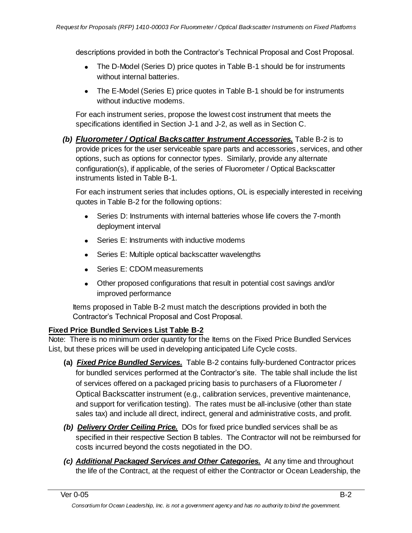descriptions provided in both the Contractor's Technical Proposal and Cost Proposal.

- The D-Model (Series D) price quotes in Table B-1 should be for instruments without internal batteries.
- The E-Model (Series E) price quotes in Table B-1 should be for instruments without inductive modems.

For each instrument series, propose the lowest cost instrument that meets the specifications identified in Section J-1 and J-2, as well as in Section C.

*(b) Fluorometer / Optical Backscatter Instrument Accessories.* Table B-2 is to provide prices for the user serviceable spare parts and accessories, services, and other options, such as options for connector types. Similarly, provide any alternate configuration(s), if applicable, of the series of Fluorometer / Optical Backscatter instruments listed in Table B-1.

For each instrument series that includes options, OL is especially interested in receiving quotes in Table B-2 for the following options:

- Series D: Instruments with internal batteries whose life covers the 7-month deployment interval
- Series E: Instruments with inductive modems
- $\bullet$ Series E: Multiple optical backscatter wavelengths
- Series F: CDOM measurements
- Other proposed configurations that result in potential cost savings and/or improved performance

Items proposed in Table B-2 must match the descriptions provided in both the Contractor's Technical Proposal and Cost Proposal.

#### **Fixed Price Bundled Services List Table B-2**

Note: There is no minimum order quantity for the Items on the Fixed Price Bundled Services List, but these prices will be used in developing anticipated Life Cycle costs.

- **(a)** *Fixed Price Bundled Services.* Table B-2 contains fully-burdened Contractor prices for bundled services performed at the Contractor's site. The table shall include the list of services offered on a packaged pricing basis to purchasers of a Fluorometer / Optical Backscatter instrument (e.g., calibration services, preventive maintenance, and support for verification testing). The rates must be all-inclusive (other than state sales tax) and include all direct, indirect, general and administrative costs, and profit.
- *(b) Delivery Order Ceiling Price.* DOs for fixed price bundled services shall be as specified in their respective Section B tables. The Contractor will not be reimbursed for costs incurred beyond the costs negotiated in the DO.
- *(c) Additional Packaged Services and Other Categories.* At any time and throughout the life of the Contract, at the request of either the Contractor or Ocean Leadership, the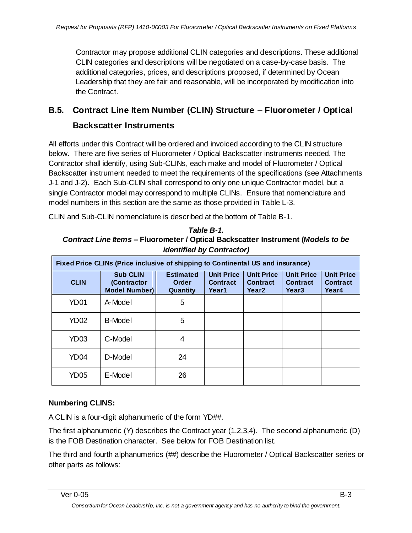Contractor may propose additional CLIN categories and descriptions. These additional CLIN categories and descriptions will be negotiated on a case-by-case basis. The additional categories, prices, and descriptions proposed, if determined by Ocean Leadership that they are fair and reasonable, will be incorporated by modification into the Contract.

## **B.5. Contract Line Item Number (CLIN) Structure – Fluorometer / Optical Backscatter Instruments**

All efforts under this Contract will be ordered and invoiced according to the CLIN structure below. There are five series of Fluorometer / Optical Backscatter instruments needed. The Contractor shall identify, using Sub-CLINs, each make and model of Fluorometer / Optical Backscatter instrument needed to meet the requirements of the specifications (see Attachments J-1 and J-2). Each Sub-CLIN shall correspond to only one unique Contractor model, but a single Contractor model may correspond to multiple CLINs. Ensure that nomenclature and model numbers in this section are the same as those provided in Table L-3.

CLIN and Sub-CLIN nomenclature is described at the bottom of Table B-1.

*Table B-1. Contract Line Items* **– Fluorometer / Optical Backscatter Instrument (***Models to be identified by Contractor)*

| Fixed Price CLINs (Price inclusive of shipping to Continental US and insurance) |                                                        |                                              |                                               |                                                           |                                                           |                                               |
|---------------------------------------------------------------------------------|--------------------------------------------------------|----------------------------------------------|-----------------------------------------------|-----------------------------------------------------------|-----------------------------------------------------------|-----------------------------------------------|
| <b>CLIN</b>                                                                     | <b>Sub CLIN</b><br>(Contractor<br><b>Model Number)</b> | <b>Estimated</b><br><b>Order</b><br>Quantity | <b>Unit Price</b><br><b>Contract</b><br>Year1 | <b>Unit Price</b><br><b>Contract</b><br>Year <sub>2</sub> | <b>Unit Price</b><br><b>Contract</b><br>Year <sub>3</sub> | <b>Unit Price</b><br><b>Contract</b><br>Year4 |
| YD <sub>01</sub>                                                                | A-Model                                                | 5                                            |                                               |                                                           |                                                           |                                               |
| YD <sub>02</sub>                                                                | <b>B-Model</b>                                         | 5                                            |                                               |                                                           |                                                           |                                               |
| YD <sub>03</sub>                                                                | C-Model                                                | 4                                            |                                               |                                                           |                                                           |                                               |
| YD <sub>04</sub>                                                                | D-Model                                                | 24                                           |                                               |                                                           |                                                           |                                               |
| YD <sub>05</sub>                                                                | E-Model                                                | 26                                           |                                               |                                                           |                                                           |                                               |

#### **Numbering CLINS:**

A CLIN is a four-digit alphanumeric of the form YD##.

The first alphanumeric (Y) describes the Contract year (1,2,3,4). The second alphanumeric (D) is the FOB Destination character. See below for FOB Destination list.

The third and fourth alphanumerics (##) describe the Fluorometer / Optical Backscatter series or other parts as follows: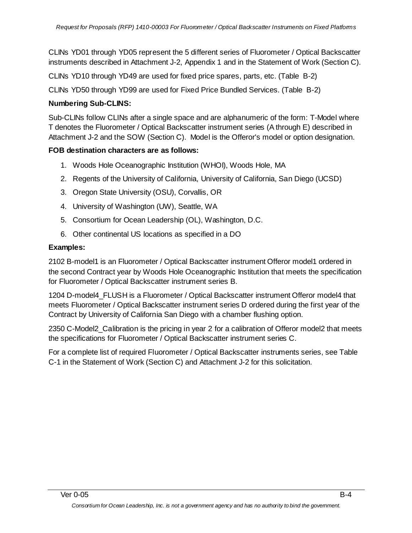CLINs YD01 through YD05 represent the 5 different series of Fluorometer / Optical Backscatter instruments described in Attachment J-2, Appendix 1 and in the Statement of Work (Section C).

CLINs YD10 through YD49 are used for fixed price spares, parts, etc. (Table B-2)

CLINs YD50 through YD99 are used for Fixed Price Bundled Services. (Table B-2)

#### **Numbering Sub-CLINS:**

Sub-CLINs follow CLINs after a single space and are alphanumeric of the form: T-Model where T denotes the Fluorometer / Optical Backscatter instrument series (A through E) described in Attachment J-2 and the SOW (Section C). Model is the Offeror's model or option designation.

#### **FOB destination characters are as follows:**

- 1. Woods Hole Oceanographic Institution (WHOI), Woods Hole, MA
- 2. Regents of the University of California, University of California, San Diego (UCSD)
- 3. Oregon State University (OSU), Corvallis, OR
- 4. University of Washington (UW), Seattle, WA
- 5. Consortium for Ocean Leadership (OL), Washington, D.C.
- 6. Other continental US locations as specified in a DO

#### **Examples:**

2102 B-model1 is an Fluorometer / Optical Backscatter instrument Offeror model1 ordered in the second Contract year by Woods Hole Oceanographic Institution that meets the specification for Fluorometer / Optical Backscatter instrument series B.

1204 D-model4\_FLUSH is a Fluorometer / Optical Backscatter instrument Offeror model4 that meets Fluorometer / Optical Backscatter instrument series D ordered during the first year of the Contract by University of California San Diego with a chamber flushing option.

2350 C-Model2\_Calibration is the pricing in year 2 for a calibration of Offeror model2 that meets the specifications for Fluorometer / Optical Backscatter instrument series C.

For a complete list of required Fluorometer / Optical Backscatter instruments series, see Table C-1 in the Statement of Work (Section C) and Attachment J-2 for this solicitation.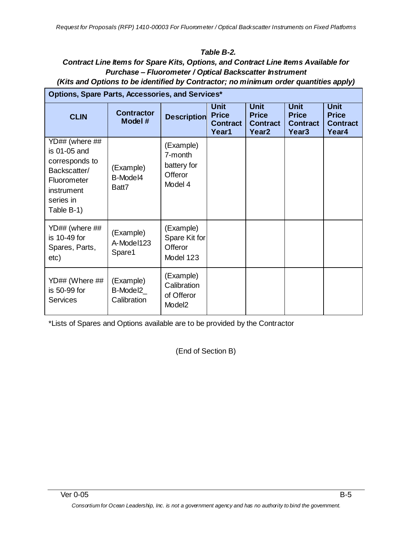#### *Table B-2.*

#### **Contract Line Items for Spare Kits, Options, and Contract Line Items Available for** *Purchase – Fluorometer / Optical Backscatter Instrument (Kits and Options to be identified by Contractor; no minimum order quantities apply)*

| Options, Spare Parts, Accessories, and Services*                                                                         |                                      |                                                              |                                                         |                                                                     |                                                                     |                                                         |
|--------------------------------------------------------------------------------------------------------------------------|--------------------------------------|--------------------------------------------------------------|---------------------------------------------------------|---------------------------------------------------------------------|---------------------------------------------------------------------|---------------------------------------------------------|
| <b>CLIN</b>                                                                                                              | <b>Contractor</b><br>Model#          | <b>Description</b>                                           | <b>Unit</b><br><b>Price</b><br><b>Contract</b><br>Year1 | <b>Unit</b><br><b>Price</b><br><b>Contract</b><br>Year <sub>2</sub> | <b>Unit</b><br><b>Price</b><br><b>Contract</b><br>Year <sub>3</sub> | <b>Unit</b><br><b>Price</b><br><b>Contract</b><br>Year4 |
| YD## (where ##<br>is 01-05 and<br>corresponds to<br>Backscatter/<br>Fluorometer<br>instrument<br>series in<br>Table B-1) | (Example)<br>B-Model4<br>Batt7       | (Example)<br>7-month<br>battery for<br>Offeror<br>Model 4    |                                                         |                                                                     |                                                                     |                                                         |
| YD## (where ##<br>is 10-49 for<br>Spares, Parts,<br>etc)                                                                 | (Example)<br>A-Model123<br>Spare1    | (Example)<br>Spare Kit for<br>Offeror<br>Model 123           |                                                         |                                                                     |                                                                     |                                                         |
| YD## (Where ##<br>is 50-99 for<br><b>Services</b>                                                                        | (Example)<br>B-Model2<br>Calibration | (Example)<br>Calibration<br>of Offeror<br>Model <sub>2</sub> |                                                         |                                                                     |                                                                     |                                                         |

\*Lists of Spares and Options available are to be provided by the Contractor

(End of Section B)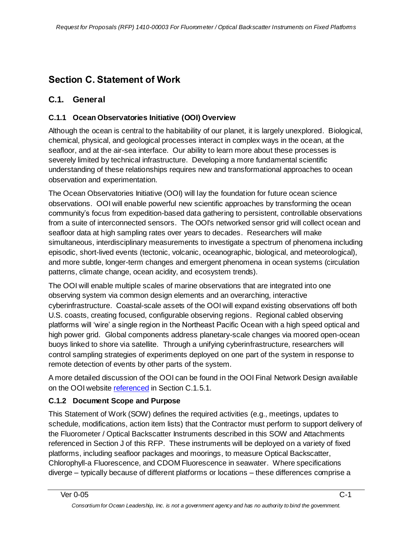## <span id="page-10-0"></span>**Section C. Statement of Work**

### **C.1. General**

#### **C.1.1 Ocean Observatories Initiative (OOI) Overview**

Although the ocean is central to the habitability of our planet, it is largely unexplored. Biological, chemical, physical, and geological processes interact in complex ways in the ocean, at the seafloor, and at the air-sea interface. Our ability to learn more about these processes is severely limited by technical infrastructure. Developing a more fundamental scientific understanding of these relationships requires new and transformational approaches to ocean observation and experimentation.

The Ocean Observatories Initiative (OOI) will lay the foundation for future ocean science observations. OOI will enable powerful new scientific approaches by transforming the ocean community's focus from expedition-based data gathering to persistent, controllable observations from a suite of interconnected sensors. The OOI's networked sensor grid will collect ocean and seafloor data at high sampling rates over years to decades. Researchers will make simultaneous, interdisciplinary measurements to investigate a spectrum of phenomena including episodic, short-lived events (tectonic, volcanic, oceanographic, biological, and meteorological), and more subtle, longer-term changes and emergent phenomena in ocean systems (circulation patterns, climate change, ocean acidity, and ecosystem trends).

The OOI will enable multiple scales of marine observations that are integrated into one observing system via common design elements and an overarching, interactive cyberinfrastructure. Coastal-scale assets of the OOI will expand existing observations off both U.S. coasts, creating focused, configurable observing regions. Regional cabled observing platforms will ‗wire' a single region in the Northeast Pacific Ocean with a high speed optical and high power grid. Global components address planetary-scale changes via moored open-ocean buoys linked to shore via satellite. Through a unifying cyberinfrastructure, researchers will control sampling strategies of experiments deployed on one part of the system in response to remote detection of events by other parts of the system.

A more detailed discussion of the OOI can be found in the OOI Final Network Design available on the OOI website [referenced](http://referenced/) in Section C.1.5.1.

#### **C.1.2 Document Scope and Purpose**

This Statement of Work (SOW) defines the required activities (e.g., meetings, updates to schedule, modifications, action item lists) that the Contractor must perform to support delivery of the Fluorometer / Optical Backscatter Instruments described in this SOW and Attachments referenced in Section J of this RFP. These instruments will be deployed on a variety of fixed platforms, including seafloor packages and moorings, to measure Optical Backscatter, Chlorophyll-a Fluorescence, and CDOM Fluorescence in seawater. Where specifications diverge – typically because of different platforms or locations – these differences comprise a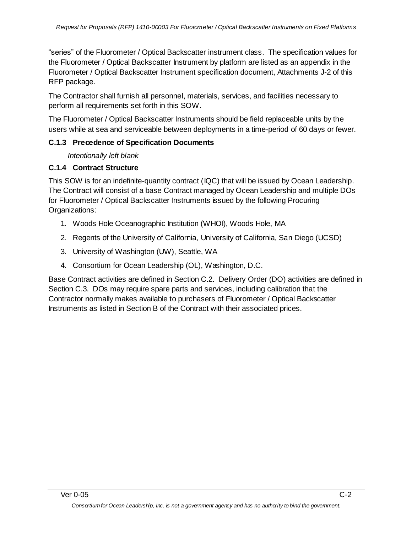―series‖ of the Fluorometer / Optical Backscatter instrument class. The specification values for the Fluorometer / Optical Backscatter Instrument by platform are listed as an appendix in the Fluorometer / Optical Backscatter Instrument specification document, Attachments J-2 of this RFP package.

The Contractor shall furnish all personnel, materials, services, and facilities necessary to perform all requirements set forth in this SOW.

The Fluorometer / Optical Backscatter Instruments should be field replaceable units by the users while at sea and serviceable between deployments in a time-period of 60 days or fewer.

#### **C.1.3 Precedence of Specification Documents**

*Intentionally left blank*

#### **C.1.4 Contract Structure**

This SOW is for an indefinite-quantity contract (IQC) that will be issued by Ocean Leadership. The Contract will consist of a base Contract managed by Ocean Leadership and multiple DOs for Fluorometer / Optical Backscatter Instruments issued by the following Procuring Organizations:

- 1. Woods Hole Oceanographic Institution (WHOI), Woods Hole, MA
- 2. Regents of the University of California, University of California, San Diego (UCSD)
- 3. University of Washington (UW), Seattle, WA
- 4. Consortium for Ocean Leadership (OL), Washington, D.C.

Base Contract activities are defined in Section C.2. Delivery Order (DO) activities are defined in Section C.3. DOs may require spare parts and services, including calibration that the Contractor normally makes available to purchasers of Fluorometer / Optical Backscatter Instruments as listed in Section B of the Contract with their associated prices.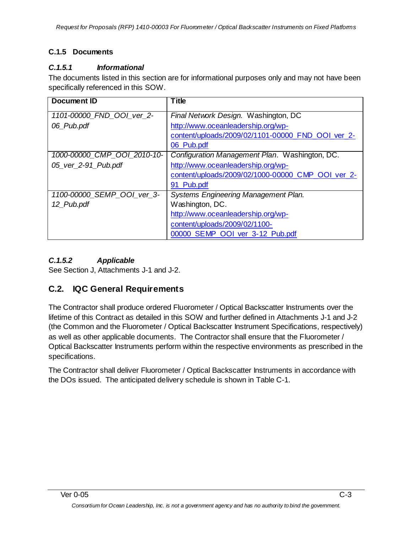### **C.1.5 Documents**

#### *C.1.5.1 Informational*

The documents listed in this section are for informational purposes only and may not have been specifically referenced in this SOW.

| <b>Document ID</b>          | <b>Title</b>                                      |
|-----------------------------|---------------------------------------------------|
| 1101-00000_FND_OOI_ver 2-   | Final Network Design. Washington, DC              |
| 06_Pub.pdf                  | http://www.oceanleadership.org/wp-                |
|                             | content/uploads/2009/02/1101-00000_FND_OOI_ver_2- |
|                             | 06_Pub.pdf                                        |
| 1000-00000 CMP OOI 2010-10- | Configuration Management Plan. Washington, DC.    |
| 05_ver_2-91_Pub.pdf         | http://www.oceanleadership.org/wp-                |
|                             | content/uploads/2009/02/1000-00000 CMP OOI ver 2- |
|                             | 91_Pub.pdf                                        |
| 1100-00000_SEMP_OOI_ver_3-  | <b>Systems Engineering Management Plan.</b>       |
| 12_Pub.pdf                  | Washington, DC.                                   |
|                             | http://www.oceanleadership.org/wp-                |
|                             | content/uploads/2009/02/1100-                     |
|                             | 00000_SEMP_OOI_ver_3-12_Pub.pdf                   |

#### *C.1.5.2 Applicable*

See Section J, Attachments J-1 and J-2.

### **C.2. IQC General Requirements**

The Contractor shall produce ordered Fluorometer / Optical Backscatter Instruments over the lifetime of this Contract as detailed in this SOW and further defined in Attachments J-1 and J-2 (the Common and the Fluorometer / Optical Backscatter Instrument Specifications, respectively) as well as other applicable documents. The Contractor shall ensure that the Fluorometer / Optical Backscatter Instruments perform within the respective environments as prescribed in the specifications.

The Contractor shall deliver Fluorometer / Optical Backscatter Instruments in accordance with the DOs issued. The anticipated delivery schedule is shown in Table C-1.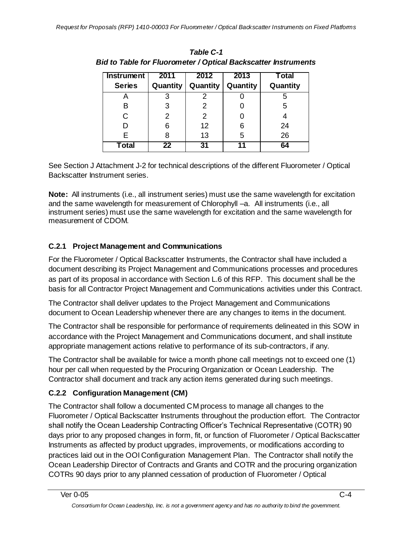| <b>Instrument</b> | 2011     | 2012     | 2013     | Total    |
|-------------------|----------|----------|----------|----------|
| <b>Series</b>     | Quantity | Quantity | Quantity | Quantity |
|                   | 3        |          |          | 5        |
| в                 | 3        | 2        |          | 5        |
| Ć                 | 2        | 2        |          |          |
| D                 | 6        | 12       | 6        | 24       |
| Е                 | 8        | 13       | 5        | 26       |
| Total             | 22       | 31       | 11       | 64       |

| Table C-1                                                             |
|-----------------------------------------------------------------------|
| <b>Bid to Table for Fluorometer / Optical Backscatter Instruments</b> |

See Section J Attachment J-2 for technical descriptions of the different Fluorometer / Optical Backscatter Instrument series.

**Note:** All instruments (i.e., all instrument series) must use the same wavelength for excitation and the same wavelength for measurement of Chlorophyll –a. All instruments (i.e., all instrument series) must use the same wavelength for excitation and the same wavelength for measurement of CDOM.

## **C.2.1 Project Management and Communications**

For the Fluorometer / Optical Backscatter Instruments, the Contractor shall have included a document describing its Project Management and Communications processes and procedures as part of its proposal in accordance with Section L.6 of this RFP. This document shall be the basis for all Contractor Project Management and Communications activities under this Contract.

The Contractor shall deliver updates to the Project Management and Communications document to Ocean Leadership whenever there are any changes to items in the document.

The Contractor shall be responsible for performance of requirements delineated in this SOW in accordance with the Project Management and Communications document, and shall institute appropriate management actions relative to performance of its sub-contractors, if any.

The Contractor shall be available for twice a month phone call meetings not to exceed one (1) hour per call when requested by the Procuring Organization or Ocean Leadership. The Contractor shall document and track any action items generated during such meetings.

## **C.2.2 Configuration Management (CM)**

The Contractor shall follow a documented CM process to manage all changes to the Fluorometer / Optical Backscatter Instruments throughout the production effort. The Contractor shall notify the Ocean Leadership Contracting Officer's Technical Representative (COTR) 90 days prior to any proposed changes in form, fit, or function of Fluorometer / Optical Backscatter Instruments as affected by product upgrades, improvements, or modifications according to practices laid out in the OOI Configuration Management Plan. The Contractor shall notify the Ocean Leadership Director of Contracts and Grants and COTR and the procuring organization COTRs 90 days prior to any planned cessation of production of Fluorometer / Optical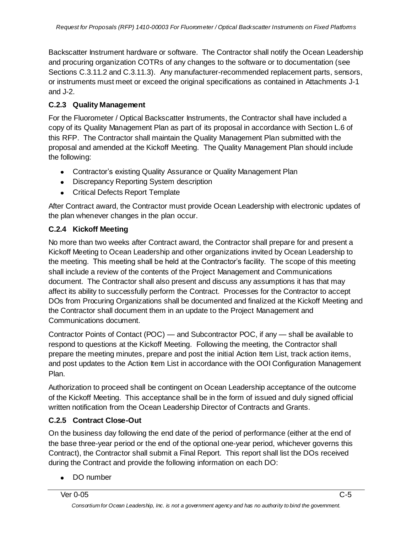Backscatter Instrument hardware or software. The Contractor shall notify the Ocean Leadership and procuring organization COTRs of any changes to the software or to documentation (see Sections C.3.11.2 and C.3.11.3). Any manufacturer-recommended replacement parts, sensors, or instruments must meet or exceed the original specifications as contained in Attachments J-1 and J-2.

#### **C.2.3 Quality Management**

For the Fluorometer / Optical Backscatter Instruments, the Contractor shall have included a copy of its Quality Management Plan as part of its proposal in accordance with Section L.6 of this RFP. The Contractor shall maintain the Quality Management Plan submitted with the proposal and amended at the Kickoff Meeting. The Quality Management Plan should include the following:

- Contractor's existing Quality Assurance or Quality Management Plan
- Discrepancy Reporting System description
- Critical Defects Report Template

After Contract award, the Contractor must provide Ocean Leadership with electronic updates of the plan whenever changes in the plan occur.

#### **C.2.4 Kickoff Meeting**

No more than two weeks after Contract award, the Contractor shall prepare for and present a Kickoff Meeting to Ocean Leadership and other organizations invited by Ocean Leadership to the meeting. This meeting shall be held at the Contractor's facility. The scope of this meeting shall include a review of the contents of the Project Management and Communications document. The Contractor shall also present and discuss any assumptions it has that may affect its ability to successfully perform the Contract. Processes for the Contractor to accept DOs from Procuring Organizations shall be documented and finalized at the Kickoff Meeting and the Contractor shall document them in an update to the Project Management and Communications document.

Contractor Points of Contact (POC) — and Subcontractor POC, if any — shall be available to respond to questions at the Kickoff Meeting. Following the meeting, the Contractor shall prepare the meeting minutes, prepare and post the initial Action Item List, track action items, and post updates to the Action Item List in accordance with the OOI Configuration Management Plan.

Authorization to proceed shall be contingent on Ocean Leadership acceptance of the outcome of the Kickoff Meeting. This acceptance shall be in the form of issued and duly signed official written notification from the Ocean Leadership Director of Contracts and Grants.

#### **C.2.5 Contract Close-Out**

On the business day following the end date of the period of performance (either at the end of the base three-year period or the end of the optional one-year period, whichever governs this Contract), the Contractor shall submit a Final Report. This report shall list the DOs received during the Contract and provide the following information on each DO:

• DO number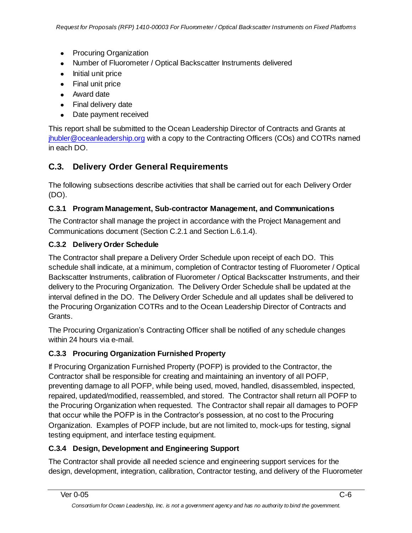- Procuring Organization
- Number of Fluorometer / Optical Backscatter Instruments delivered
- Initial unit price
- Final unit price
- Award date
- Final delivery date
- Date payment received

This report shall be submitted to the Ocean Leadership Director of Contracts and Grants at [jhubler@oceanleadership.org](mailto:jhubler@oceanleadership.org) with a copy to the Contracting Officers (COs) and COTRs named in each DO.

## **C.3. Delivery Order General Requirements**

The following subsections describe activities that shall be carried out for each Delivery Order (DO).

#### **C.3.1 Program Management, Sub-contractor Management, and Communications**

The Contractor shall manage the project in accordance with the Project Management and Communications document (Section C.2.1 and Section L.6.1.4).

#### **C.3.2 Delivery Order Schedule**

The Contractor shall prepare a Delivery Order Schedule upon receipt of each DO. This schedule shall indicate, at a minimum, completion of Contractor testing of Fluorometer / Optical Backscatter Instruments, calibration of Fluorometer / Optical Backscatter Instruments, and their delivery to the Procuring Organization. The Delivery Order Schedule shall be updated at the interval defined in the DO. The Delivery Order Schedule and all updates shall be delivered to the Procuring Organization COTRs and to the Ocean Leadership Director of Contracts and Grants.

The Procuring Organization's Contracting Officer shall be notified of any schedule changes within 24 hours via e-mail.

#### **C.3.3 Procuring Organization Furnished Property**

If Procuring Organization Furnished Property (POFP) is provided to the Contractor, the Contractor shall be responsible for creating and maintaining an inventory of all POFP, preventing damage to all POFP, while being used, moved, handled, disassembled, inspected, repaired, updated/modified, reassembled, and stored. The Contractor shall return all POFP to the Procuring Organization when requested. The Contractor shall repair all damages to POFP that occur while the POFP is in the Contractor's possession, at no cost to the Procuring Organization. Examples of POFP include, but are not limited to, mock-ups for testing, signal testing equipment, and interface testing equipment.

#### **C.3.4 Design, Development and Engineering Support**

The Contractor shall provide all needed science and engineering support services for the design, development, integration, calibration, Contractor testing, and delivery of the Fluorometer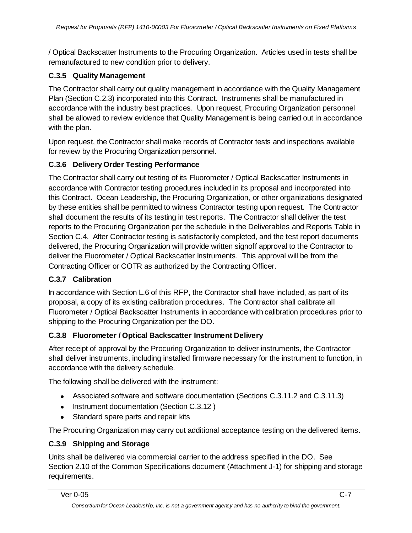/ Optical Backscatter Instruments to the Procuring Organization. Articles used in tests shall be remanufactured to new condition prior to delivery.

#### **C.3.5 Quality Management**

The Contractor shall carry out quality management in accordance with the Quality Management Plan (Section C.2.3) incorporated into this Contract. Instruments shall be manufactured in accordance with the industry best practices. Upon request, Procuring Organization personnel shall be allowed to review evidence that Quality Management is being carried out in accordance with the plan.

Upon request, the Contractor shall make records of Contractor tests and inspections available for review by the Procuring Organization personnel.

#### **C.3.6 Delivery Order Testing Performance**

The Contractor shall carry out testing of its Fluorometer / Optical Backscatter Instruments in accordance with Contractor testing procedures included in its proposal and incorporated into this Contract. Ocean Leadership, the Procuring Organization, or other organizations designated by these entities shall be permitted to witness Contractor testing upon request. The Contractor shall document the results of its testing in test reports. The Contractor shall deliver the test reports to the Procuring Organization per the schedule in the Deliverables and Reports Table in Section C.4. After Contractor testing is satisfactorily completed, and the test report documents delivered, the Procuring Organization will provide written signoff approval to the Contractor to deliver the Fluorometer / Optical Backscatter Instruments. This approval will be from the Contracting Officer or COTR as authorized by the Contracting Officer.

#### **C.3.7 Calibration**

In accordance with Section L.6 of this RFP, the Contractor shall have included, as part of its proposal, a copy of its existing calibration procedures. The Contractor shall calibrate all Fluorometer / Optical Backscatter Instruments in accordance with calibration procedures prior to shipping to the Procuring Organization per the DO.

#### **C.3.8 Fluorometer / Optical Backscatter Instrument Delivery**

After receipt of approval by the Procuring Organization to deliver instruments, the Contractor shall deliver instruments, including installed firmware necessary for the instrument to function, in accordance with the delivery schedule.

The following shall be delivered with the instrument:

- Associated software and software documentation (Sections C.3.11.2 and C.3.11.3)
- Instrument documentation (Section C.3.12)
- Standard spare parts and repair kits

The Procuring Organization may carry out additional acceptance testing on the delivered items.

#### **C.3.9 Shipping and Storage**

Units shall be delivered via commercial carrier to the address specified in the DO. See Section 2.10 of the Common Specifications document (Attachment J-1) for shipping and storage requirements.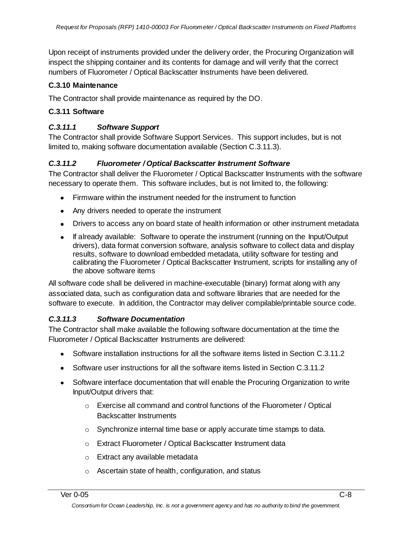Upon receipt of instruments provided under the delivery order, the Procuring Organization will inspect the shipping container and its contents for damage and will verify that the correct numbers of Fluorometer / Optical Backscatter Instruments have been delivered.

#### **C.3.10 Maintenance**

The Contractor shall provide maintenance as required by the DO.

#### **C.3.11 Software**

#### *C.3.11.1 Software Support*

The Contractor shall provide Software Support Services. This support includes, but is not limited to, making software documentation available (Section C.3.11.3).

#### *C.3.11.2 Fluorometer / Optical Backscatter Instrument Software*

The Contractor shall deliver the Fluorometer / Optical Backscatter Instruments with the software necessary to operate them. This software includes, but is not limited to, the following:

- Firmware within the instrument needed for the instrument to function
- Any drivers needed to operate the instrument
- Drivers to access any on board state of health information or other instrument metadata
- If already available: Software to operate the instrument (running on the Input/Output drivers), data format conversion software, analysis software to collect data and display results, software to download embedded metadata, utility software for testing and calibrating the Fluorometer / Optical Backscatter Instrument, scripts for installing any of the above software items

All software code shall be delivered in machine-executable (binary) format along with any associated data, such as configuration data and software libraries that are needed for the software to execute. In addition, the Contractor may deliver compilable/printable source code.

#### *C.3.11.3 Software Documentation*

The Contractor shall make available the following software documentation at the time the Fluorometer / Optical Backscatter Instruments are delivered:

- Software installation instructions for all the software items listed in Section C.3.11.2
- Software user instructions for all the software items listed in Section C.3.11.2
- Software interface documentation that will enable the Procuring Organization to write Input/Output drivers that:
	- o Exercise all command and control functions of the Fluorometer / Optical Backscatter Instruments
	- o Synchronize internal time base or apply accurate time stamps to data.
	- o Extract Fluorometer / Optical Backscatter Instrument data
	- o Extract any available metadata
	- o Ascertain state of health, configuration, and status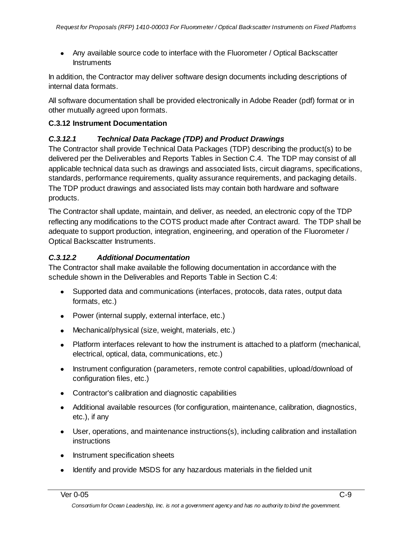Any available source code to interface with the Fluorometer / Optical Backscatter **Instruments** 

In addition, the Contractor may deliver software design documents including descriptions of internal data formats.

All software documentation shall be provided electronically in Adobe Reader (pdf) format or in other mutually agreed upon formats.

#### **C.3.12 Instrument Documentation**

#### *C.3.12.1 Technical Data Package (TDP) and Product Drawings*

The Contractor shall provide Technical Data Packages (TDP) describing the product(s) to be delivered per the Deliverables and Reports Tables in Section C.4. The TDP may consist of all applicable technical data such as drawings and associated lists, circuit diagrams, specifications, standards, performance requirements, quality assurance requirements, and packaging details. The TDP product drawings and associated lists may contain both hardware and software products.

The Contractor shall update, maintain, and deliver, as needed, an electronic copy of the TDP reflecting any modifications to the COTS product made after Contract award. The TDP shall be adequate to support production, integration, engineering, and operation of the Fluorometer / Optical Backscatter Instruments.

#### *C.3.12.2 Additional Documentation*

The Contractor shall make available the following documentation in accordance with the schedule shown in the Deliverables and Reports Table in Section C.4:

- Supported data and communications (interfaces, protocols, data rates, output data formats, etc.)
- Power (internal supply, external interface, etc.)
- Mechanical/physical (size, weight, materials, etc.)
- Platform interfaces relevant to how the instrument is attached to a platform (mechanical, electrical, optical, data, communications, etc.)
- Instrument configuration (parameters, remote control capabilities, upload/download of configuration files, etc.)
- Contractor's calibration and diagnostic capabilities
- Additional available resources (for configuration, maintenance, calibration, diagnostics, etc.), if any
- User, operations, and maintenance instructions(s), including calibration and installation instructions
- Instrument specification sheets
- Identify and provide MSDS for any hazardous materials in the fielded unit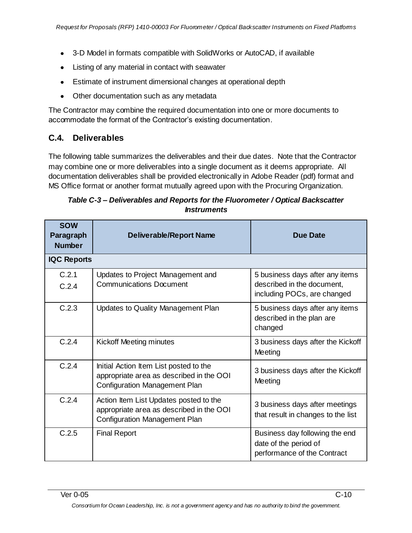- 3-D Model in formats compatible with SolidWorks or AutoCAD, if available
- Listing of any material in contact with seawater
- Estimate of instrument dimensional changes at operational depth
- Other documentation such as any metadata

The Contractor may combine the required documentation into one or more documents to accommodate the format of the Contractor's existing documentation.

## **C.4. Deliverables**

The following table summarizes the deliverables and their due dates. Note that the Contractor may combine one or more deliverables into a single document as it deems appropriate. All documentation deliverables shall be provided electronically in Adobe Reader (pdf) format and MS Office format or another format mutually agreed upon with the Procuring Organization.

| Table C-3 – Deliverables and Reports for the Fluorometer / Optical Backscatter |
|--------------------------------------------------------------------------------|
| <i><b>Instruments</b></i>                                                      |

| <b>SOW</b><br>Paragraph<br><b>Number</b> | <b>Deliverable/Report Name</b>                                                                                             | <b>Due Date</b>                                                                              |
|------------------------------------------|----------------------------------------------------------------------------------------------------------------------------|----------------------------------------------------------------------------------------------|
| <b>IQC Reports</b>                       |                                                                                                                            |                                                                                              |
| C.2.1<br>C.2.4                           | Updates to Project Management and<br><b>Communications Document</b>                                                        | 5 business days after any items<br>described in the document,<br>including POCs, are changed |
| C.2.3                                    | Updates to Quality Management Plan                                                                                         | 5 business days after any items<br>described in the plan are<br>changed                      |
| C.2.4                                    | Kickoff Meeting minutes                                                                                                    | 3 business days after the Kickoff<br>Meeting                                                 |
| C.2.4                                    | Initial Action Item List posted to the<br>appropriate area as described in the OOI<br><b>Configuration Management Plan</b> | 3 business days after the Kickoff<br>Meeting                                                 |
| C.2.4                                    | Action Item List Updates posted to the<br>appropriate area as described in the OOI<br><b>Configuration Management Plan</b> | 3 business days after meetings<br>that result in changes to the list                         |
| C.2.5                                    | <b>Final Report</b>                                                                                                        | Business day following the end<br>date of the period of<br>performance of the Contract       |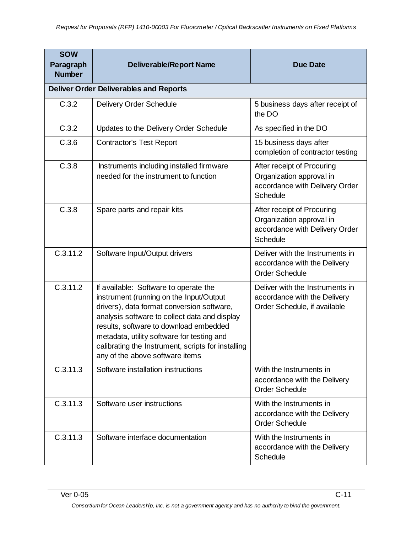| <b>SOW</b><br>Paragraph<br><b>Number</b> | <b>Deliverable/Report Name</b>                                                                                                                                                                                                                                                                                                                                   | <b>Due Date</b>                                                                                             |
|------------------------------------------|------------------------------------------------------------------------------------------------------------------------------------------------------------------------------------------------------------------------------------------------------------------------------------------------------------------------------------------------------------------|-------------------------------------------------------------------------------------------------------------|
|                                          | <b>Deliver Order Deliverables and Reports</b>                                                                                                                                                                                                                                                                                                                    |                                                                                                             |
| C.3.2                                    | <b>Delivery Order Schedule</b>                                                                                                                                                                                                                                                                                                                                   | 5 business days after receipt of<br>the DO                                                                  |
| C.3.2                                    | Updates to the Delivery Order Schedule                                                                                                                                                                                                                                                                                                                           | As specified in the DO                                                                                      |
| C.3.6                                    | <b>Contractor's Test Report</b>                                                                                                                                                                                                                                                                                                                                  | 15 business days after<br>completion of contractor testing                                                  |
| C.3.8                                    | Instruments including installed firmware<br>needed for the instrument to function                                                                                                                                                                                                                                                                                | After receipt of Procuring<br>Organization approval in<br>accordance with Delivery Order<br><b>Schedule</b> |
| C.3.8                                    | Spare parts and repair kits                                                                                                                                                                                                                                                                                                                                      | After receipt of Procuring<br>Organization approval in<br>accordance with Delivery Order<br>Schedule        |
| C.3.11.2                                 | Software Input/Output drivers                                                                                                                                                                                                                                                                                                                                    | Deliver with the Instruments in<br>accordance with the Delivery<br><b>Order Schedule</b>                    |
| C.3.11.2                                 | If available: Software to operate the<br>instrument (running on the Input/Output<br>drivers), data format conversion software,<br>analysis software to collect data and display<br>results, software to download embedded<br>metadata, utility software for testing and<br>calibrating the Instrument, scripts for installing<br>any of the above software items | Deliver with the Instruments in<br>accordance with the Delivery<br>Order Schedule, if available             |
| C.3.11.3                                 | Software installation instructions                                                                                                                                                                                                                                                                                                                               | With the Instruments in<br>accordance with the Delivery<br><b>Order Schedule</b>                            |
| C.3.11.3                                 | Software user instructions                                                                                                                                                                                                                                                                                                                                       | With the Instruments in<br>accordance with the Delivery<br><b>Order Schedule</b>                            |
| C.3.11.3                                 | Software interface documentation                                                                                                                                                                                                                                                                                                                                 | With the Instruments in<br>accordance with the Delivery<br>Schedule                                         |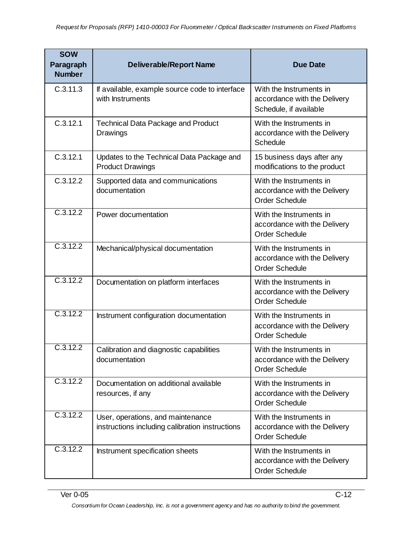| <b>SOW</b><br>Paragraph<br><b>Number</b> | <b>Deliverable/Report Name</b>                                                       | <b>Due Date</b>                                                                   |
|------------------------------------------|--------------------------------------------------------------------------------------|-----------------------------------------------------------------------------------|
| C.3.11.3                                 | If available, example source code to interface<br>with Instruments                   | With the Instruments in<br>accordance with the Delivery<br>Schedule, if available |
| C.3.12.1                                 | <b>Technical Data Package and Product</b><br>Drawings                                | With the Instruments in<br>accordance with the Delivery<br>Schedule               |
| C.3.12.1                                 | Updates to the Technical Data Package and<br><b>Product Drawings</b>                 | 15 business days after any<br>modifications to the product                        |
| C.3.12.2                                 | Supported data and communications<br>documentation                                   | With the Instruments in<br>accordance with the Delivery<br><b>Order Schedule</b>  |
| C.3.12.2                                 | Power documentation                                                                  | With the Instruments in<br>accordance with the Delivery<br>Order Schedule         |
| C.3.12.2                                 | Mechanical/physical documentation                                                    | With the Instruments in<br>accordance with the Delivery<br><b>Order Schedule</b>  |
| C.3.12.2                                 | Documentation on platform interfaces                                                 | With the Instruments in<br>accordance with the Delivery<br><b>Order Schedule</b>  |
| C.3.12.2                                 | Instrument configuration documentation                                               | With the Instruments in<br>accordance with the Delivery<br><b>Order Schedule</b>  |
| C.3.12.2                                 | Calibration and diagnostic capabilities<br>documentation                             | With the Instruments in<br>accordance with the Delivery<br><b>Order Schedule</b>  |
| C.3.12.2                                 | Documentation on additional available<br>resources, if any                           | With the Instruments in<br>accordance with the Delivery<br><b>Order Schedule</b>  |
| C.3.12.2                                 | User, operations, and maintenance<br>instructions including calibration instructions | With the Instruments in<br>accordance with the Delivery<br><b>Order Schedule</b>  |
| C.3.12.2                                 | Instrument specification sheets                                                      | With the Instruments in<br>accordance with the Delivery<br><b>Order Schedule</b>  |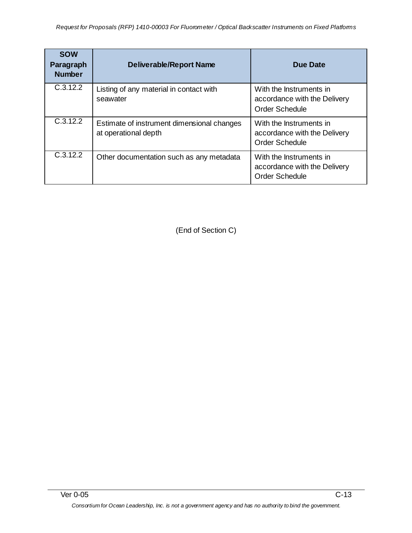| <b>SOW</b><br>Paragraph<br><b>Number</b> | <b>Deliverable/Report Name</b>                                     | Due Date                                                                         |
|------------------------------------------|--------------------------------------------------------------------|----------------------------------------------------------------------------------|
| C.3.12.2                                 | Listing of any material in contact with<br>seawater                | With the Instruments in<br>accordance with the Delivery<br><b>Order Schedule</b> |
| C.3.12.2                                 | Estimate of instrument dimensional changes<br>at operational depth | With the Instruments in<br>accordance with the Delivery<br><b>Order Schedule</b> |
| C.3.12.2                                 | Other documentation such as any metadata                           | With the Instruments in<br>accordance with the Delivery<br><b>Order Schedule</b> |

(End of Section C)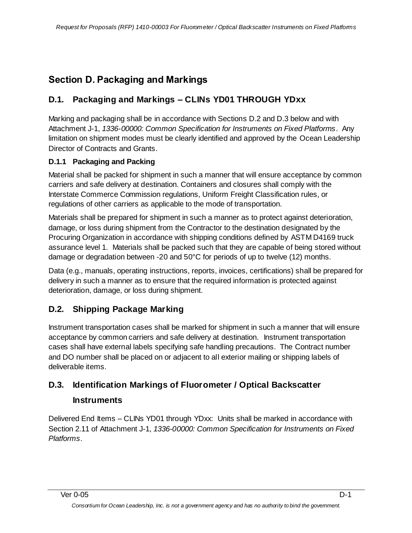## <span id="page-23-0"></span>**Section D. Packaging and Markings**

## **D.1. Packaging and Markings – CLINs YD01 THROUGH YDxx**

Marking and packaging shall be in accordance with Sections D.2 and D.3 below and with Attachment J-1, *1336-00000: Common Specification for Instruments on Fixed Platforms*. Any limitation on shipment modes must be clearly identified and approved by the Ocean Leadership Director of Contracts and Grants.

#### **D.1.1 Packaging and Packing**

Material shall be packed for shipment in such a manner that will ensure acceptance by common carriers and safe delivery at destination. Containers and closures shall comply with the Interstate Commerce Commission regulations, Uniform Freight Classification rules, or regulations of other carriers as applicable to the mode of transportation.

Materials shall be prepared for shipment in such a manner as to protect against deterioration, damage, or loss during shipment from the Contractor to the destination designated by the Procuring Organization in accordance with shipping conditions defined by ASTM D4169 truck assurance level 1. Materials shall be packed such that they are capable of being stored without damage or degradation between -20 and 50°C for periods of up to twelve (12) months.

Data (e.g., manuals, operating instructions, reports, invoices, certifications) shall be prepared for delivery in such a manner as to ensure that the required information is protected against deterioration, damage, or loss during shipment.

## **D.2. Shipping Package Marking**

Instrument transportation cases shall be marked for shipment in such a manner that will ensure acceptance by common carriers and safe delivery at destination. Instrument transportation cases shall have external labels specifying safe handling precautions. The Contract number and DO number shall be placed on or adjacent to all exterior mailing or shipping labels of deliverable items.

## **D.3. Identification Markings of Fluorometer / Optical Backscatter**

### **Instruments**

Delivered End Items – CLINs YD01 through YDxx: Units shall be marked in accordance with Section 2.11 of Attachment J-1, *1336-00000: Common Specification for Instruments on Fixed Platforms*.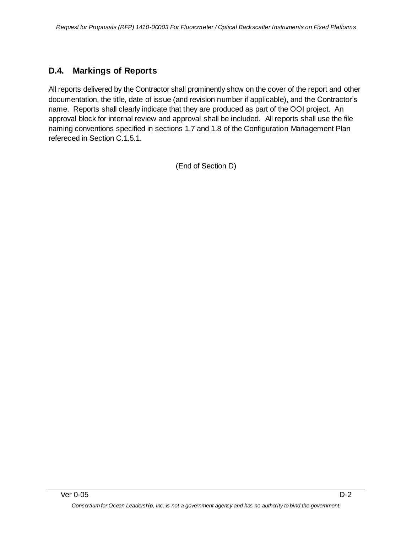## **D.4. Markings of Reports**

All reports delivered by the Contractor shall prominently show on the cover of the report and other documentation, the title, date of issue (and revision number if applicable), and the Contractor's name. Reports shall clearly indicate that they are produced as part of the OOI project. An approval block for internal review and approval shall be included. All reports shall use the file naming conventions specified in sections 1.7 and 1.8 of the Configuration Management Plan refereced in Section C.1.5.1.

(End of Section D)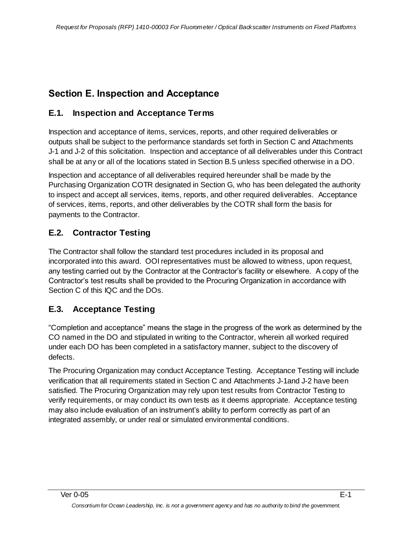## <span id="page-25-0"></span>**Section E. Inspection and Acceptance**

### **E.1. Inspection and Acceptance Terms**

Inspection and acceptance of items, services, reports, and other required deliverables or outputs shall be subject to the performance standards set forth in Section C and Attachments J-1 and J-2 of this solicitation. Inspection and acceptance of all deliverables under this Contract shall be at any or all of the locations stated in Section B.5 unless specified otherwise in a DO.

Inspection and acceptance of all deliverables required hereunder shall be made by the Purchasing Organization COTR designated in Section G, who has been delegated the authority to inspect and accept all services, items, reports, and other required deliverables. Acceptance of services, items, reports, and other deliverables by the COTR shall form the basis for payments to the Contractor.

## **E.2. Contractor Testing**

The Contractor shall follow the standard test procedures included in its proposal and incorporated into this award. OOI representatives must be allowed to witness, upon request, any testing carried out by the Contractor at the Contractor's facility or elsewhere. A copy of the Contractor's test results shall be provided to the Procuring Organization in accordance with Section C of this IQC and the DOs.

## **E.3. Acceptance Testing**

―Completion and acceptance‖ means the stage in the progress of the work as determined by the CO named in the DO and stipulated in writing to the Contractor, wherein all worked required under each DO has been completed in a satisfactory manner, subject to the discovery of defects.

The Procuring Organization may conduct Acceptance Testing. Acceptance Testing will include verification that all requirements stated in Section C and Attachments J-1and J-2 have been satisfied. The Procuring Organization may rely upon test results from Contractor Testing to verify requirements, or may conduct its own tests as it deems appropriate. Acceptance testing may also include evaluation of an instrument's ability to perform correctly as part of an integrated assembly, or under real or simulated environmental conditions.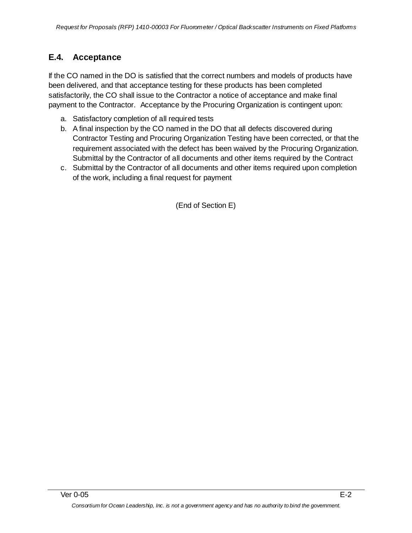## **E.4. Acceptance**

If the CO named in the DO is satisfied that the correct numbers and models of products have been delivered, and that acceptance testing for these products has been completed satisfactorily, the CO shall issue to the Contractor a notice of acceptance and make final payment to the Contractor. Acceptance by the Procuring Organization is contingent upon:

- a. Satisfactory completion of all required tests
- b. A final inspection by the CO named in the DO that all defects discovered during Contractor Testing and Procuring Organization Testing have been corrected, or that the requirement associated with the defect has been waived by the Procuring Organization. Submittal by the Contractor of all documents and other items required by the Contract
- c. Submittal by the Contractor of all documents and other items required upon completion of the work, including a final request for payment

(End of Section E)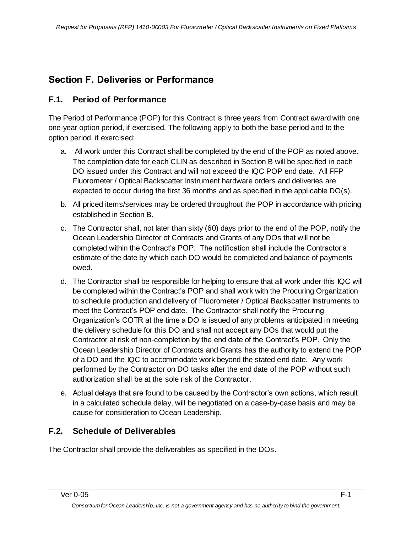## <span id="page-27-0"></span>**Section F. Deliveries or Performance**

### **F.1. Period of Performance**

The Period of Performance (POP) for this Contract is three years from Contract award with one one-year option period, if exercised. The following apply to both the base period and to the option period, if exercised:

- a. All work under this Contract shall be completed by the end of the POP as noted above. The completion date for each CLIN as described in Section B will be specified in each DO issued under this Contract and will not exceed the IQC POP end date. All FFP Fluorometer / Optical Backscatter Instrument hardware orders and deliveries are expected to occur during the first 36 months and as specified in the applicable DO(s).
- b. All priced items/services may be ordered throughout the POP in accordance with pricing established in Section B.
- c. The Contractor shall, not later than sixty (60) days prior to the end of the POP, notify the Ocean Leadership Director of Contracts and Grants of any DOs that will not be completed within the Contract's POP. The notification shall include the Contractor's estimate of the date by which each DO would be completed and balance of payments owed.
- d. The Contractor shall be responsible for helping to ensure that all work under this IQC will be completed within the Contract's POP and shall work with the Procuring Organization to schedule production and delivery of Fluorometer / Optical Backscatter Instruments to meet the Contract's POP end date. The Contractor shall notify the Procuring Organization's COTR at the time a DO is issued of any problems anticipated in meeting the delivery schedule for this DO and shall not accept any DOs that would put the Contractor at risk of non-completion by the end date of the Contract's POP. Only the Ocean Leadership Director of Contracts and Grants has the authority to extend the POP of a DO and the IQC to accommodate work beyond the stated end date. Any work performed by the Contractor on DO tasks after the end date of the POP without such authorization shall be at the sole risk of the Contractor.
- e. Actual delays that are found to be caused by the Contractor's own actions, which result in a calculated schedule delay, will be negotiated on a case-by-case basis and may be cause for consideration to Ocean Leadership.

## **F.2. Schedule of Deliverables**

The Contractor shall provide the deliverables as specified in the DOs.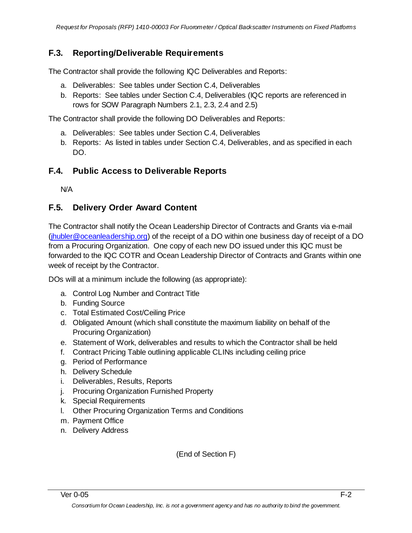## **F.3. Reporting/Deliverable Requirements**

The Contractor shall provide the following IQC Deliverables and Reports:

- a. Deliverables: See tables under Section C.4, Deliverables
- b. Reports: See tables under Section C.4, Deliverables (IQC reports are referenced in rows for SOW Paragraph Numbers 2.1, 2.3, 2.4 and 2.5)

The Contractor shall provide the following DO Deliverables and Reports:

- a. Deliverables: See tables under Section C.4, Deliverables
- b. Reports: As listed in tables under Section C.4, Deliverables, and as specified in each DO.

## **F.4. Public Access to Deliverable Reports**

N/A

## **F.5. Delivery Order Award Content**

The Contractor shall notify the Ocean Leadership Director of Contracts and Grants via e-mail [\(jhubler@oceanleadership.org\)](mailto:jhubler@oceanleadership.org) of the receipt of a DO within one business day of receipt of a DO from a Procuring Organization. One copy of each new DO issued under this IQC must be forwarded to the IQC COTR and Ocean Leadership Director of Contracts and Grants within one week of receipt by the Contractor.

DOs will at a minimum include the following (as appropriate):

- a. Control Log Number and Contract Title
- b. Funding Source
- c. Total Estimated Cost/Ceiling Price
- d. Obligated Amount (which shall constitute the maximum liability on behalf of the Procuring Organization)
- e. Statement of Work, deliverables and results to which the Contractor shall be held
- f. Contract Pricing Table outlining applicable CLINs including ceiling price
- g. Period of Performance
- h. Delivery Schedule
- i. Deliverables, Results, Reports
- j. Procuring Organization Furnished Property
- k. Special Requirements
- l. Other Procuring Organization Terms and Conditions
- m. Payment Office
- n. Delivery Address

(End of Section F)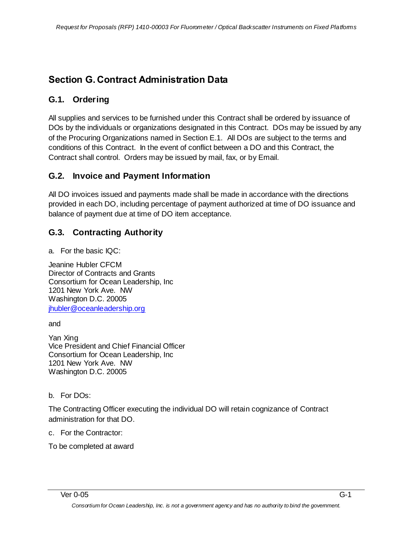## <span id="page-29-0"></span>**Section G. Contract Administration Data**

## **G.1. Ordering**

All supplies and services to be furnished under this Contract shall be ordered by issuance of DOs by the individuals or organizations designated in this Contract. DOs may be issued by any of the Procuring Organizations named in Section E.1. All DOs are subject to the terms and conditions of this Contract. In the event of conflict between a DO and this Contract, the Contract shall control. Orders may be issued by mail, fax, or by Email.

### **G.2. Invoice and Payment Information**

All DO invoices issued and payments made shall be made in accordance with the directions provided in each DO, including percentage of payment authorized at time of DO issuance and balance of payment due at time of DO item acceptance.

## **G.3. Contracting Authority**

a. For the basic IQC:

Jeanine Hubler CFCM Director of Contracts and Grants Consortium for Ocean Leadership, Inc 1201 New York Ave. NW Washington D.C. 20005 [jhubler@oceanleadership.org](mailto:jhubler@oceanleadership.org)

and

Yan Xing Vice President and Chief Financial Officer Consortium for Ocean Leadership, Inc 1201 New York Ave. NW Washington D.C. 20005

b. For DOs:

The Contracting Officer executing the individual DO will retain cognizance of Contract administration for that DO.

c. For the Contractor:

To be completed at award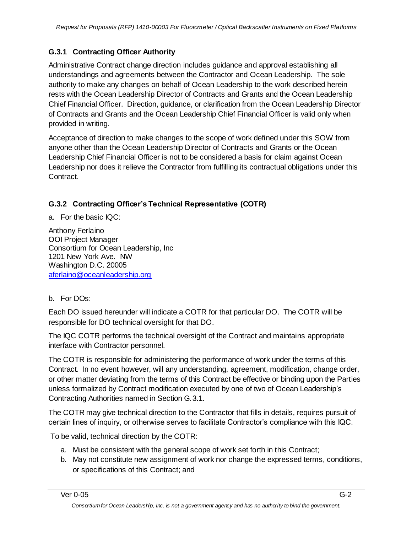### **G.3.1 Contracting Officer Authority**

Administrative Contract change direction includes guidance and approval establishing all understandings and agreements between the Contractor and Ocean Leadership. The sole authority to make any changes on behalf of Ocean Leadership to the work described herein rests with the Ocean Leadership Director of Contracts and Grants and the Ocean Leadership Chief Financial Officer. Direction, guidance, or clarification from the Ocean Leadership Director of Contracts and Grants and the Ocean Leadership Chief Financial Officer is valid only when provided in writing.

Acceptance of direction to make changes to the scope of work defined under this SOW from anyone other than the Ocean Leadership Director of Contracts and Grants or the Ocean Leadership Chief Financial Officer is not to be considered a basis for claim against Ocean Leadership nor does it relieve the Contractor from fulfilling its contractual obligations under this Contract.

#### **G.3.2 Contracting Officer's Technical Representative (COTR)**

a. For the basic IQC:

Anthony Ferlaino OOI Project Manager Consortium for Ocean Leadership, Inc 1201 New York Ave. NW Washington D.C. 20005 [aferlaino@oceanleadership.org](mailto:aferlaino@oceanleadership.org)

#### b. For DOs:

Each DO issued hereunder will indicate a COTR for that particular DO. The COTR will be responsible for DO technical oversight for that DO.

The IQC COTR performs the technical oversight of the Contract and maintains appropriate interface with Contractor personnel.

The COTR is responsible for administering the performance of work under the terms of this Contract. In no event however, will any understanding, agreement, modification, change order, or other matter deviating from the terms of this Contract be effective or binding upon the Parties unless formalized by Contract modification executed by one of two of Ocean Leadership's Contracting Authorities named in Section G.3.1.

The COTR may give technical direction to the Contractor that fills in details, requires pursuit of certain lines of inquiry, or otherwise serves to facilitate Contractor's compliance with this IQC.

To be valid, technical direction by the COTR:

- a. Must be consistent with the general scope of work set forth in this Contract;
- b. May not constitute new assignment of work nor change the expressed terms, conditions, or specifications of this Contract; and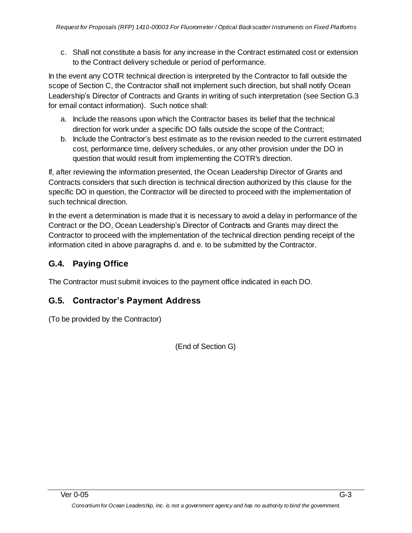c. Shall not constitute a basis for any increase in the Contract estimated cost or extension to the Contract delivery schedule or period of performance.

In the event any COTR technical direction is interpreted by the Contractor to fall outside the scope of Section C, the Contractor shall not implement such direction, but shall notify Ocean Leadership's Director of Contracts and Grants in writing of such interpretation (see Section G.3 for email contact information). Such notice shall:

- a. Include the reasons upon which the Contractor bases its belief that the technical direction for work under a specific DO falls outside the scope of the Contract;
- b. Include the Contractor's best estimate as to the revision needed to the current estimated cost, performance time, delivery schedules, or any other provision under the DO in question that would result from implementing the COTR's direction.

If, after reviewing the information presented, the Ocean Leadership Director of Grants and Contracts considers that such direction is technical direction authorized by this clause for the specific DO in question, the Contractor will be directed to proceed with the implementation of such technical direction.

In the event a determination is made that it is necessary to avoid a delay in performance of the Contract or the DO, Ocean Leadership's Director of Contracts and Grants may direct the Contractor to proceed with the implementation of the technical direction pending receipt of the information cited in above paragraphs d. and e. to be submitted by the Contractor.

## **G.4. Paying Office**

The Contractor must submit invoices to the payment office indicated in each DO.

## **G.5. Contractor's Payment Address**

(To be provided by the Contractor)

(End of Section G)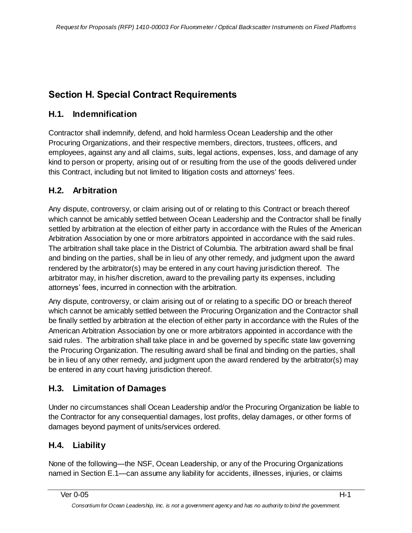## <span id="page-32-0"></span>**Section H. Special Contract Requirements**

## **H.1. Indemnification**

Contractor shall indemnify, defend, and hold harmless Ocean Leadership and the other Procuring Organizations, and their respective members, directors, trustees, officers, and employees, against any and all claims, suits, legal actions, expenses, loss, and damage of any kind to person or property, arising out of or resulting from the use of the goods delivered under this Contract, including but not limited to litigation costs and attorneys' fees.

## **H.2. Arbitration**

Any dispute, controversy, or claim arising out of or relating to this Contract or breach thereof which cannot be amicably settled between Ocean Leadership and the Contractor shall be finally settled by arbitration at the election of either party in accordance with the Rules of the American Arbitration Association by one or more arbitrators appointed in accordance with the said rules. The arbitration shall take place in the District of Columbia. The arbitration award shall be final and binding on the parties, shall be in lieu of any other remedy, and judgment upon the award rendered by the arbitrator(s) may be entered in any court having jurisdiction thereof. The arbitrator may, in his/her discretion, award to the prevailing party its expenses, including attorneys' fees, incurred in connection with the arbitration.

Any dispute, controversy, or claim arising out of or relating to a specific DO or breach thereof which cannot be amicably settled between the Procuring Organization and the Contractor shall be finally settled by arbitration at the election of either party in accordance with the Rules of the American Arbitration Association by one or more arbitrators appointed in accordance with the said rules. The arbitration shall take place in and be governed by specific state law governing the Procuring Organization. The resulting award shall be final and binding on the parties, shall be in lieu of any other remedy, and judgment upon the award rendered by the arbitrator(s) may be entered in any court having jurisdiction thereof.

## **H.3. Limitation of Damages**

Under no circumstances shall Ocean Leadership and/or the Procuring Organization be liable to the Contractor for any consequential damages, lost profits, delay damages, or other forms of damages beyond payment of units/services ordered.

## **H.4. Liability**

None of the following—the NSF, Ocean Leadership, or any of the Procuring Organizations named in Section E.1—can assume any liability for accidents, illnesses, injuries, or claims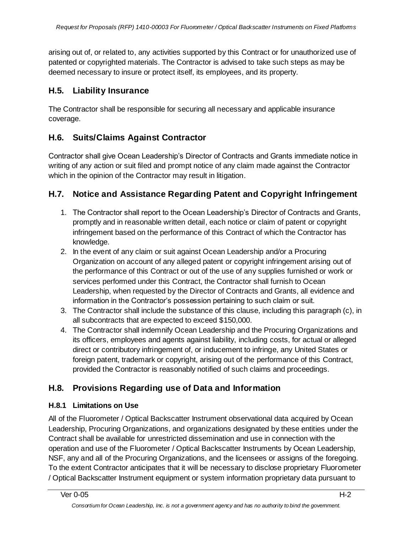arising out of, or related to, any activities supported by this Contract or for unauthorized use of patented or copyrighted materials. The Contractor is advised to take such steps as may be deemed necessary to insure or protect itself, its employees, and its property.

## **H.5. Liability Insurance**

The Contractor shall be responsible for securing all necessary and applicable insurance coverage.

## **H.6. Suits/Claims Against Contractor**

Contractor shall give Ocean Leadership's Director of Contracts and Grants immediate notice in writing of any action or suit filed and prompt notice of any claim made against the Contractor which in the opinion of the Contractor may result in litigation.

## **H.7. Notice and Assistance Regarding Patent and Copyright Infringement**

- 1. The Contractor shall report to the Ocean Leadership's Director of Contracts and Grants, promptly and in reasonable written detail, each notice or claim of patent or copyright infringement based on the performance of this Contract of which the Contractor has knowledge.
- 2. In the event of any claim or suit against Ocean Leadership and/or a Procuring Organization on account of any alleged patent or copyright infringement arising out of the performance of this Contract or out of the use of any supplies furnished or work or services performed under this Contract, the Contractor shall furnish to Ocean Leadership, when requested by the Director of Contracts and Grants, all evidence and information in the Contractor's possession pertaining to such claim or suit.
- 3. The Contractor shall include the substance of this clause, including this paragraph (c), in all subcontracts that are expected to exceed \$150,000.
- 4. The Contractor shall indemnify Ocean Leadership and the Procuring Organizations and its officers, employees and agents against liability, including costs, for actual or alleged direct or contributory infringement of, or inducement to infringe, any United States or foreign patent, trademark or copyright, arising out of the performance of this Contract, provided the Contractor is reasonably notified of such claims and proceedings.

## **H.8. Provisions Regarding use of Data and Information**

#### **H.8.1 Limitations on Use**

All of the Fluorometer / Optical Backscatter Instrument observational data acquired by Ocean Leadership, Procuring Organizations, and organizations designated by these entities under the Contract shall be available for unrestricted dissemination and use in connection with the operation and use of the Fluorometer / Optical Backscatter Instruments by Ocean Leadership, NSF, any and all of the Procuring Organizations, and the licensees or assigns of the foregoing. To the extent Contractor anticipates that it will be necessary to disclose proprietary Fluorometer / Optical Backscatter Instrument equipment or system information proprietary data pursuant to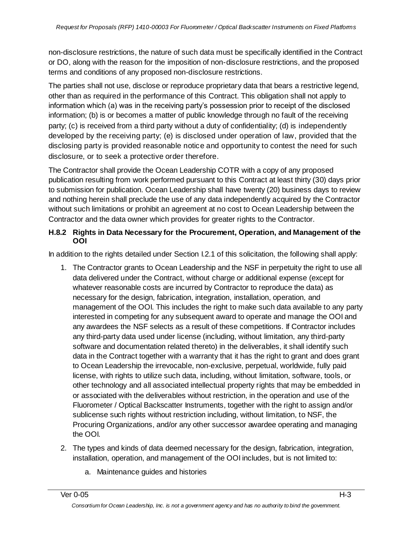non-disclosure restrictions, the nature of such data must be specifically identified in the Contract or DO, along with the reason for the imposition of non-disclosure restrictions, and the proposed terms and conditions of any proposed non-disclosure restrictions.

The parties shall not use, disclose or reproduce proprietary data that bears a restrictive legend, other than as required in the performance of this Contract. This obligation shall not apply to information which (a) was in the receiving party's possession prior to receipt of the disclosed information; (b) is or becomes a matter of public knowledge through no fault of the receiving party; (c) is received from a third party without a duty of confidentiality; (d) is independently developed by the receiving party; (e) is disclosed under operation of law, provided that the disclosing party is provided reasonable notice and opportunity to contest the need for such disclosure, or to seek a protective order therefore.

The Contractor shall provide the Ocean Leadership COTR with a copy of any proposed publication resulting from work performed pursuant to this Contract at least thirty (30) days prior to submission for publication. Ocean Leadership shall have twenty (20) business days to review and nothing herein shall preclude the use of any data independently acquired by the Contractor without such limitations or prohibit an agreement at no cost to Ocean Leadership between the Contractor and the data owner which provides for greater rights to the Contractor.

#### **H.8.2 Rights in Data Necessary for the Procurement, Operation, and Management of the OOI**

In addition to the rights detailed under Section I.2.1 of this solicitation, the following shall apply:

- 1. The Contractor grants to Ocean Leadership and the NSF in perpetuity the right to use all data delivered under the Contract, without charge or additional expense (except for whatever reasonable costs are incurred by Contractor to reproduce the data) as necessary for the design, fabrication, integration, installation, operation, and management of the OOI. This includes the right to make such data available to any party interested in competing for any subsequent award to operate and manage the OOI and any awardees the NSF selects as a result of these competitions. If Contractor includes any third-party data used under license (including, without limitation, any third-party software and documentation related thereto) in the deliverables, it shall identify such data in the Contract together with a warranty that it has the right to grant and does grant to Ocean Leadership the irrevocable, non-exclusive, perpetual, worldwide, fully paid license, with rights to utilize such data, including, without limitation, software, tools, or other technology and all associated intellectual property rights that may be embedded in or associated with the deliverables without restriction, in the operation and use of the Fluorometer / Optical Backscatter Instruments, together with the right to assign and/or sublicense such rights without restriction including, without limitation, to NSF, the Procuring Organizations, and/or any other successor awardee operating and managing the OOI.
- 2. The types and kinds of data deemed necessary for the design, fabrication, integration, installation, operation, and management of the OOI includes, but is not limited to:
	- a. Maintenance guides and histories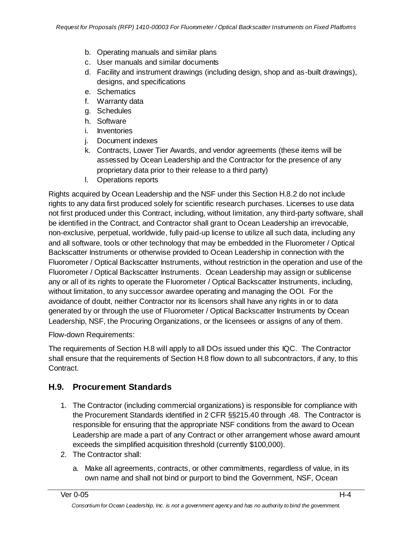- b. Operating manuals and similar plans
- c. User manuals and similar documents
- d. Facility and instrument drawings (including design, shop and as-built drawings), designs, and specifications
- e. Schematics
- f. Warranty data
- g. Schedules
- h. Software
- i. Inventories
- j. Document indexes
- k. Contracts, Lower Tier Awards, and vendor agreements (these items will be assessed by Ocean Leadership and the Contractor for the presence of any proprietary data prior to their release to a third party)
- l. Operations reports

Rights acquired by Ocean Leadership and the NSF under this Section H.8.2 do not include rights to any data first produced solely for scientific research purchases. Licenses to use data not first produced under this Contract, including, without limitation, any third-party software, shall be identified in the Contract, and Contractor shall grant to Ocean Leadership an irrevocable, non-exclusive, perpetual, worldwide, fully paid-up license to utilize all such data, including any and all software, tools or other technology that may be embedded in the Fluorometer / Optical Backscatter Instruments or otherwise provided to Ocean Leadership in connection with the Fluorometer / Optical Backscatter Instruments, without restriction in the operation and use of the Fluorometer / Optical Backscatter Instruments. Ocean Leadership may assign or sublicense any or all of its rights to operate the Fluorometer / Optical Backscatter Instruments, including, without limitation, to any successor awardee operating and managing the OOI. For the avoidance of doubt, neither Contractor nor its licensors shall have any rights in or to data generated by or through the use of Fluorometer / Optical Backscatter Instruments by Ocean Leadership, NSF, the Procuring Organizations, or the licensees or assigns of any of them.

Flow-down Requirements:

The requirements of Section H.8 will apply to all DOs issued under this IQC. The Contractor shall ensure that the requirements of Section H.8 flow down to all subcontractors, if any, to this Contract.

### **H.9. Procurement Standards**

- 1. The Contractor (including commercial organizations) is responsible for compliance with the Procurement Standards identified in 2 CFR §§215.40 through .48. The Contractor is responsible for ensuring that the appropriate NSF conditions from the award to Ocean Leadership are made a part of any Contract or other arrangement whose award amount exceeds the simplified acquisition threshold (currently \$100,000).
- 2. The Contractor shall:
	- a. Make all agreements, contracts, or other commitments, regardless of value, in its own name and shall not bind or purport to bind the Government, NSF, Ocean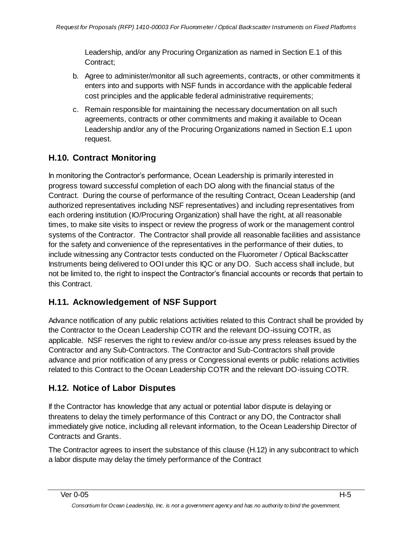Leadership, and/or any Procuring Organization as named in Section E.1 of this Contract;

- b. Agree to administer/monitor all such agreements, contracts, or other commitments it enters into and supports with NSF funds in accordance with the applicable federal cost principles and the applicable federal administrative requirements;
- c. Remain responsible for maintaining the necessary documentation on all such agreements, contracts or other commitments and making it available to Ocean Leadership and/or any of the Procuring Organizations named in Section E.1 upon request.

# **H.10. Contract Monitoring**

In monitoring the Contractor's performance, Ocean Leadership is primarily interested in progress toward successful completion of each DO along with the financial status of the Contract. During the course of performance of the resulting Contract, Ocean Leadership (and authorized representatives including NSF representatives) and including representatives from each ordering institution (IO/Procuring Organization) shall have the right, at all reasonable times, to make site visits to inspect or review the progress of work or the management control systems of the Contractor. The Contractor shall provide all reasonable facilities and assistance for the safety and convenience of the representatives in the performance of their duties, to include witnessing any Contractor tests conducted on the Fluorometer / Optical Backscatter Instruments being delivered to OOI under this IQC or any DO. Such access shall include, but not be limited to, the right to inspect the Contractor's financial accounts or records that pertain to this Contract.

# **H.11. Acknowledgement of NSF Support**

Advance notification of any public relations activities related to this Contract shall be provided by the Contractor to the Ocean Leadership COTR and the relevant DO-issuing COTR, as applicable. NSF reserves the right to review and/or co-issue any press releases issued by the Contractor and any Sub-Contractors. The Contractor and Sub-Contractors shall provide advance and prior notification of any press or Congressional events or public relations activities related to this Contract to the Ocean Leadership COTR and the relevant DO-issuing COTR.

# **H.12. Notice of Labor Disputes**

If the Contractor has knowledge that any actual or potential labor dispute is delaying or threatens to delay the timely performance of this Contract or any DO, the Contractor shall immediately give notice, including all relevant information, to the Ocean Leadership Director of Contracts and Grants.

The Contractor agrees to insert the substance of this clause (H.12) in any subcontract to which a labor dispute may delay the timely performance of the Contract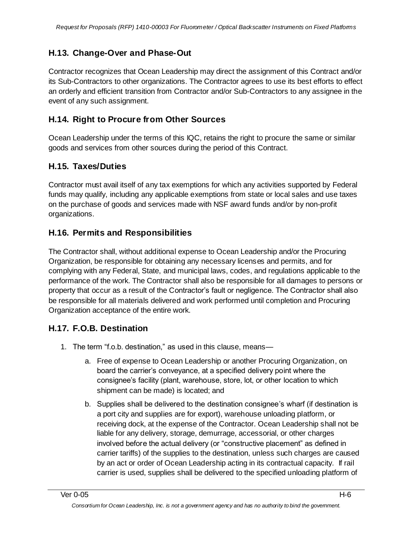## **H.13. Change-Over and Phase-Out**

Contractor recognizes that Ocean Leadership may direct the assignment of this Contract and/or its Sub-Contractors to other organizations. The Contractor agrees to use its best efforts to effect an orderly and efficient transition from Contractor and/or Sub-Contractors to any assignee in the event of any such assignment.

## **H.14. Right to Procure from Other Sources**

Ocean Leadership under the terms of this IQC, retains the right to procure the same or similar goods and services from other sources during the period of this Contract.

## **H.15. Taxes/Duties**

Contractor must avail itself of any tax exemptions for which any activities supported by Federal funds may qualify, including any applicable exemptions from state or local sales and use taxes on the purchase of goods and services made with NSF award funds and/or by non-profit organizations.

## **H.16. Permits and Responsibilities**

The Contractor shall, without additional expense to Ocean Leadership and/or the Procuring Organization, be responsible for obtaining any necessary licenses and permits, and for complying with any Federal, State, and municipal laws, codes, and regulations applicable to the performance of the work. The Contractor shall also be responsible for all damages to persons or property that occur as a result of the Contractor's fault or negligence. The Contractor shall also be responsible for all materials delivered and work performed until completion and Procuring Organization acceptance of the entire work.

## **H.17. F.O.B. Destination**

- 1. The term "f.o.b. destination," as used in this clause, means
	- a. Free of expense to Ocean Leadership or another Procuring Organization, on board the carrier's conveyance, at a specified delivery point where the consignee's facility (plant, warehouse, store, lot, or other location to which shipment can be made) is located; and
	- b. Supplies shall be delivered to the destination consignee's wharf (if destination is a port city and supplies are for export), warehouse unloading platform, or receiving dock, at the expense of the Contractor. Ocean Leadership shall not be liable for any delivery, storage, demurrage, accessorial, or other charges involved before the actual delivery (or "constructive placement" as defined in carrier tariffs) of the supplies to the destination, unless such charges are caused by an act or order of Ocean Leadership acting in its contractual capacity. If rail carrier is used, supplies shall be delivered to the specified unloading platform of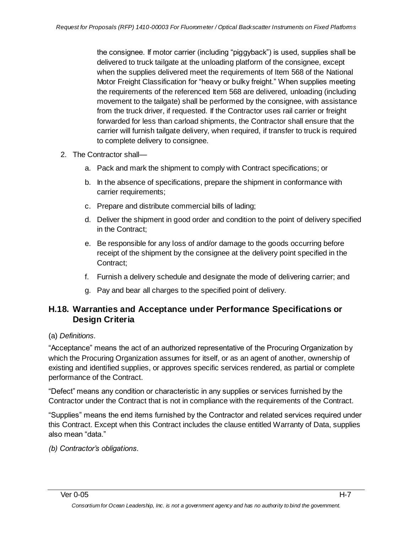the consignee. If motor carrier (including "piggyback") is used, supplies shall be delivered to truck tailgate at the unloading platform of the consignee, except when the supplies delivered meet the requirements of Item 568 of the National Motor Freight Classification for "heavy or bulky freight." When supplies meeting the requirements of the referenced Item 568 are delivered, unloading (including movement to the tailgate) shall be performed by the consignee, with assistance from the truck driver, if requested. If the Contractor uses rail carrier or freight forwarded for less than carload shipments, the Contractor shall ensure that the carrier will furnish tailgate delivery, when required, if transfer to truck is required to complete delivery to consignee.

- 2. The Contractor shall
	- a. Pack and mark the shipment to comply with Contract specifications; or
	- b. In the absence of specifications, prepare the shipment in conformance with carrier requirements;
	- c. Prepare and distribute commercial bills of lading;
	- d. Deliver the shipment in good order and condition to the point of delivery specified in the Contract;
	- e. Be responsible for any loss of and/or damage to the goods occurring before receipt of the shipment by the consignee at the delivery point specified in the Contract;
	- f. Furnish a delivery schedule and designate the mode of delivering carrier; and
	- g. Pay and bear all charges to the specified point of delivery.

## **H.18. Warranties and Acceptance under Performance Specifications or Design Criteria**

## (a) *Definitions.*

―Acceptance‖ means the act of an authorized representative of the Procuring Organization by which the Procuring Organization assumes for itself, or as an agent of another, ownership of existing and identified supplies, or approves specific services rendered, as partial or complete performance of the Contract.

―Defect‖ means any condition or characteristic in any supplies or services furnished by the Contractor under the Contract that is not in compliance with the requirements of the Contract.

―Supplies‖ means the end items furnished by the Contractor and related services required under this Contract. Except when this Contract includes the clause entitled Warranty of Data, supplies also mean "data."

*(b) Contractor's obligations.*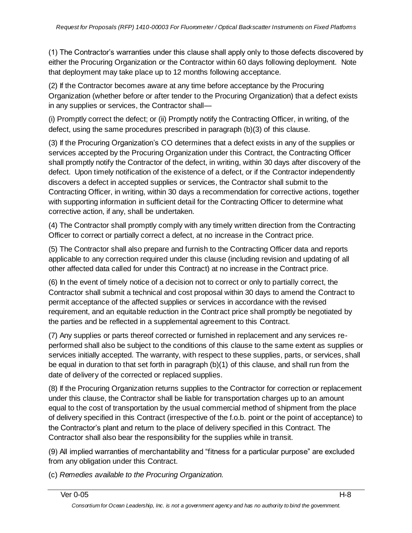(1) The Contractor's warranties under this clause shall apply only to those defects discovered by either the Procuring Organization or the Contractor within 60 days following deployment. Note that deployment may take place up to 12 months following acceptance.

(2) If the Contractor becomes aware at any time before acceptance by the Procuring Organization (whether before or after tender to the Procuring Organization) that a defect exists in any supplies or services, the Contractor shall—

(i) Promptly correct the defect; or (ii) Promptly notify the Contracting Officer, in writing, of the defect, using the same procedures prescribed in paragraph (b)(3) of this clause.

(3) If the Procuring Organization's CO determines that a defect exists in any of the supplies or services accepted by the Procuring Organization under this Contract, the Contracting Officer shall promptly notify the Contractor of the defect, in writing, within 30 days after discovery of the defect. Upon timely notification of the existence of a defect, or if the Contractor independently discovers a defect in accepted supplies or services, the Contractor shall submit to the Contracting Officer, in writing, within 30 days a recommendation for corrective actions, together with supporting information in sufficient detail for the Contracting Officer to determine what corrective action, if any, shall be undertaken.

(4) The Contractor shall promptly comply with any timely written direction from the Contracting Officer to correct or partially correct a defect, at no increase in the Contract price.

(5) The Contractor shall also prepare and furnish to the Contracting Officer data and reports applicable to any correction required under this clause (including revision and updating of all other affected data called for under this Contract) at no increase in the Contract price.

(6) In the event of timely notice of a decision not to correct or only to partially correct, the Contractor shall submit a technical and cost proposal within 30 days to amend the Contract to permit acceptance of the affected supplies or services in accordance with the revised requirement, and an equitable reduction in the Contract price shall promptly be negotiated by the parties and be reflected in a supplemental agreement to this Contract.

(7) Any supplies or parts thereof corrected or furnished in replacement and any services reperformed shall also be subject to the conditions of this clause to the same extent as supplies or services initially accepted. The warranty, with respect to these supplies, parts, or services, shall be equal in duration to that set forth in paragraph (b)(1) of this clause, and shall run from the date of delivery of the corrected or replaced supplies.

(8) If the Procuring Organization returns supplies to the Contractor for correction or replacement under this clause, the Contractor shall be liable for transportation charges up to an amount equal to the cost of transportation by the usual commercial method of shipment from the place of delivery specified in this Contract (irrespective of the f.o.b. point or the point of acceptance) to the Contractor's plant and return to the place of delivery specified in this Contract. The Contractor shall also bear the responsibility for the supplies while in transit.

(9) All implied warranties of merchantability and "fitness for a particular purpose" are excluded from any obligation under this Contract.

(c) *Remedies available to the Procuring Organization.*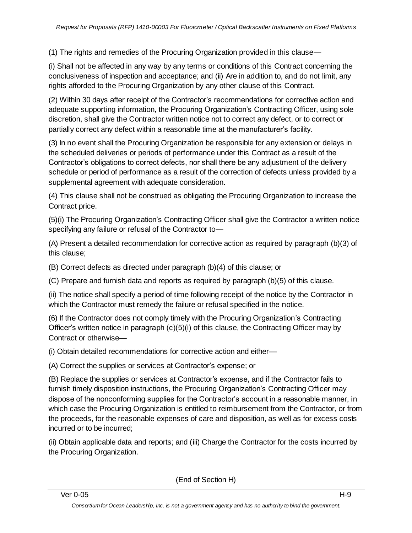(1) The rights and remedies of the Procuring Organization provided in this clause—

(i) Shall not be affected in any way by any terms or conditions of this Contract concerning the conclusiveness of inspection and acceptance; and (ii) Are in addition to, and do not limit, any rights afforded to the Procuring Organization by any other clause of this Contract.

(2) Within 30 days after receipt of the Contractor's recommendations for corrective action and adequate supporting information, the Procuring Organization's Contracting Officer, using sole discretion, shall give the Contractor written notice not to correct any defect, or to correct or partially correct any defect within a reasonable time at the manufacturer's facility.

(3) In no event shall the Procuring Organization be responsible for any extension or delays in the scheduled deliveries or periods of performance under this Contract as a result of the Contractor's obligations to correct defects, nor shall there be any adjustment of the delivery schedule or period of performance as a result of the correction of defects unless provided by a supplemental agreement with adequate consideration.

(4) This clause shall not be construed as obligating the Procuring Organization to increase the Contract price.

(5)(i) The Procuring Organization's Contracting Officer shall give the Contractor a written notice specifying any failure or refusal of the Contractor to—

(A) Present a detailed recommendation for corrective action as required by paragraph (b)(3) of this clause;

(B) Correct defects as directed under paragraph (b)(4) of this clause; or

(C) Prepare and furnish data and reports as required by paragraph (b)(5) of this clause.

(ii) The notice shall specify a period of time following receipt of the notice by the Contractor in which the Contractor must remedy the failure or refusal specified in the notice.

(6) If the Contractor does not comply timely with the Procuring Organization's Contracting Officer's written notice in paragraph (c)(5)(i) of this clause, the Contracting Officer may by Contract or otherwise—

(i) Obtain detailed recommendations for corrective action and either—

(A) Correct the supplies or services at Contractor's expense; or

(B) Replace the supplies or services at Contractor's expense, and if the Contractor fails to furnish timely disposition instructions, the Procuring Organization's Contracting Officer may dispose of the nonconforming supplies for the Contractor's account in a reasonable manner, in which case the Procuring Organization is entitled to reimbursement from the Contractor, or from the proceeds, for the reasonable expenses of care and disposition, as well as for excess costs incurred or to be incurred;

(ii) Obtain applicable data and reports; and (iii) Charge the Contractor for the costs incurred by the Procuring Organization.

(End of Section H)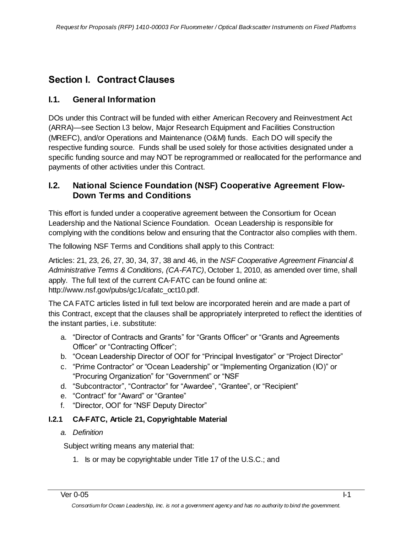# **Section I. Contract Clauses**

## **I.1. General Information**

DOs under this Contract will be funded with either American Recovery and Reinvestment Act (ARRA)—see Section I.3 below, Major Research Equipment and Facilities Construction (MREFC), and/or Operations and Maintenance (O&M) funds. Each DO will specify the respective funding source. Funds shall be used solely for those activities designated under a specific funding source and may NOT be reprogrammed or reallocated for the performance and payments of other activities under this Contract.

## **I.2. National Science Foundation (NSF) Cooperative Agreement Flow-Down Terms and Conditions**

This effort is funded under a cooperative agreement between the Consortium for Ocean Leadership and the National Science Foundation. Ocean Leadership is responsible for complying with the conditions below and ensuring that the Contractor also complies with them.

The following NSF Terms and Conditions shall apply to this Contract:

Articles: 21, 23, 26, 27, 30, 34, 37, 38 and 46, in the *NSF Cooperative Agreement Financial & Administrative Terms & Conditions, (CA-FATC)*, October 1, 2010, as amended over time, shall apply. The full text of the current CA-FATC can be found online at: http://www.nsf.gov/pubs/gc1/cafatc\_oct10.pdf.

The CA FATC articles listed in full text below are incorporated herein and are made a part of this Contract, except that the clauses shall be appropriately interpreted to reflect the identities of the instant parties, i.e. substitute:

- a. "Director of Contracts and Grants" for "Grants Officer" or "Grants and Agreements Officer" or "Contracting Officer";
- b. "Ocean Leadership Director of OOI" for "Principal Investigator" or "Project Director"
- c. "Prime Contractor" or "Ocean Leadership" or "Implementing Organization (IO)" or "Procuring Organization" for "Government" or "NSF
- d. "Subcontractor", "Contractor" for "Awardee", "Grantee", or "Recipient"
- e. "Contract" for "Award" or "Grantee"
- f. "Director, OOI" for "NSF Deputy Director"

## **I.2.1 CA-FATC, Article 21, Copyrightable Material**

## *a. Definition*

Subject writing means any material that:

1. Is or may be copyrightable under Title 17 of the U.S.C.; and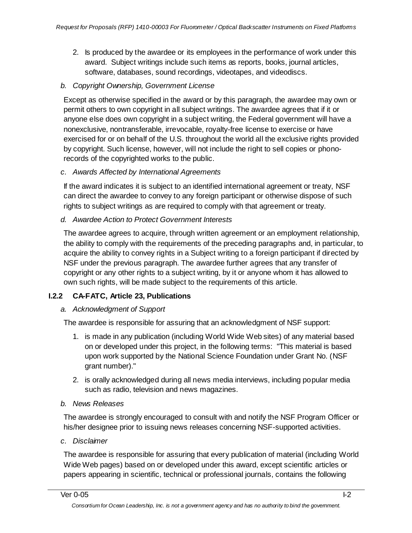2. Is produced by the awardee or its employees in the performance of work under this award. Subject writings include such items as reports, books, journal articles, software, databases, sound recordings, videotapes, and videodiscs.

### *b. Copyright Ownership, Government License*

Except as otherwise specified in the award or by this paragraph, the awardee may own or permit others to own copyright in all subject writings. The awardee agrees that if it or anyone else does own copyright in a subject writing, the Federal government will have a nonexclusive, nontransferable, irrevocable, royalty-free license to exercise or have exercised for or on behalf of the U.S. throughout the world all the exclusive rights provided by copyright. Such license, however, will not include the right to sell copies or phonorecords of the copyrighted works to the public.

### *c. Awards Affected by International Agreements*

If the award indicates it is subject to an identified international agreement or treaty, NSF can direct the awardee to convey to any foreign participant or otherwise dispose of such rights to subject writings as are required to comply with that agreement or treaty.

### *d. Awardee Action to Protect Government Interests*

The awardee agrees to acquire, through written agreement or an employment relationship, the ability to comply with the requirements of the preceding paragraphs and, in particular, to acquire the ability to convey rights in a Subject writing to a foreign participant if directed by NSF under the previous paragraph. The awardee further agrees that any transfer of copyright or any other rights to a subject writing, by it or anyone whom it has allowed to own such rights, will be made subject to the requirements of this article.

## **I.2.2 CA-FATC, Article 23, Publications**

### *a. Acknowledgment of Support*

The awardee is responsible for assuring that an acknowledgment of NSF support:

- 1. is made in any publication (including World Wide Web sites) of any material based on or developed under this project, in the following terms: "This material is based upon work supported by the National Science Foundation under Grant No. (NSF grant number)."
- 2. is orally acknowledged during all news media interviews, including popular media such as radio, television and news magazines.

### *b. News Releases*

The awardee is strongly encouraged to consult with and notify the NSF Program Officer or his/her designee prior to issuing news releases concerning NSF-supported activities.

### *c. Disclaimer*

The awardee is responsible for assuring that every publication of material (including World Wide Web pages) based on or developed under this award, except scientific articles or papers appearing in scientific, technical or professional journals, contains the following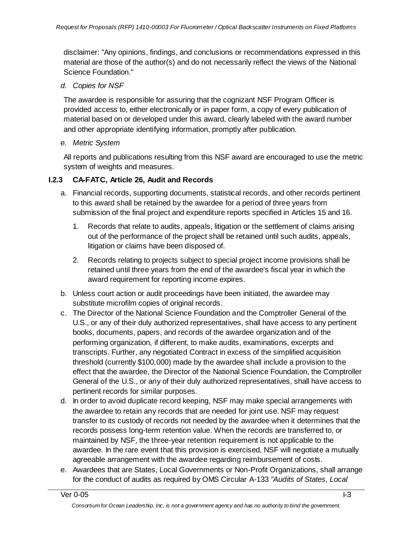disclaimer: "Any opinions, findings, and conclusions or recommendations expressed in this material are those of the author(s) and do not necessarily reflect the views of the National Science Foundation."

### *d. Copies for NSF*

The awardee is responsible for assuring that the cognizant NSF Program Officer is provided access to, either electronically or in paper form, a copy of every publication of material based on or developed under this award, clearly labeled with the award number and other appropriate identifying information, promptly after publication.

#### *e. Metric System*

All reports and publications resulting from this NSF award are encouraged to use the metric system of weights and measures.

### **I.2.3 CA-FATC, Article 26, Audit and Records**

- a. Financial records, supporting documents, statistical records, and other records pertinent to this award shall be retained by the awardee for a period of three years from submission of the final project and expenditure reports specified in Articles 15 and 16.
	- 1. Records that relate to audits, appeals, litigation or the settlement of claims arising out of the performance of the project shall be retained until such audits, appeals, litigation or claims have been disposed of.
	- 2. Records relating to projects subject to special project income provisions shall be retained until three years from the end of the awardee's fiscal year in which the award requirement for reporting income expires.
- b. Unless court action or audit proceedings have been initiated, the awardee may substitute microfilm copies of original records.
- c. The Director of the National Science Foundation and the Comptroller General of the U.S., or any of their duly authorized representatives, shall have access to any pertinent books, documents, papers, and records of the awardee organization and of the performing organization, if different, to make audits, examinations, excerpts and transcripts. Further, any negotiated Contract in excess of the simplified acquisition threshold (currently \$100,000) made by the awardee shall include a provision to the effect that the awardee, the Director of the National Science Foundation, the Comptroller General of the U.S., or any of their duly authorized representatives, shall have access to pertinent records for similar purposes.
- d. In order to avoid duplicate record keeping, NSF may make special arrangements with the awardee to retain any records that are needed for joint use. NSF may request transfer to its custody of records not needed by the awardee when it determines that the records possess long-term retention value. When the records are transferred to, or maintained by NSF, the three-year retention requirement is not applicable to the awardee. In the rare event that this provision is exercised, NSF will negotiate a mutually agreeable arrangement with the awardee regarding reimbursement of costs.
- e. Awardees that are States, Local Governments or Non-Profit Organizations, shall arrange for the conduct of audits as required by OMS Circular A-133 *"Audits of States, Local*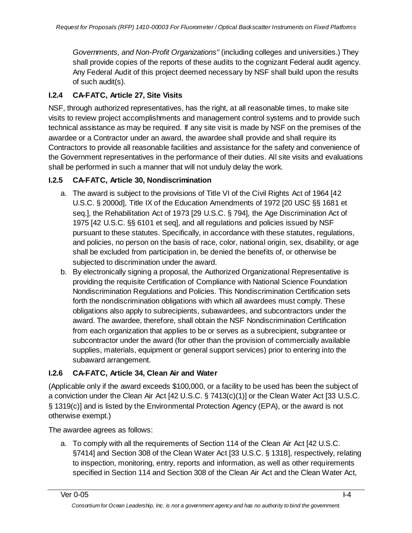*Governments, and Non-Profit Organizations"* (including colleges and universities.) They shall provide copies of the reports of these audits to the cognizant Federal audit agency. Any Federal Audit of this project deemed necessary by NSF shall build upon the results of such audit(s).

## **I.2.4 CA-FATC, Article 27, Site Visits**

NSF, through authorized representatives, has the right, at all reasonable times, to make site visits to review project accomplishments and management control systems and to provide such technical assistance as may be required. If any site visit is made by NSF on the premises of the awardee or a Contractor under an award, the awardee shall provide and shall require its Contractors to provide all reasonable facilities and assistance for the safety and convenience of the Government representatives in the performance of their duties. All site visits and evaluations shall be performed in such a manner that will not unduly delay the work.

## **I.2.5 CA-FATC, Article 30, Nondiscrimination**

- a. The award is subject to the provisions of Title VI of the Civil Rights Act of 1964 [42 U.S.C. § 2000d], Title IX of the Education Amendments of 1972 [20 USC §§ 1681 et seq.], the Rehabilitation Act of 1973 [29 U.S.C. § 794], the Age Discrimination Act of 1975 [42 U.S.C. §§ 6101 et seq], and all regulations and policies issued by NSF pursuant to these statutes. Specifically, in accordance with these statutes, regulations, and policies, no person on the basis of race, color, national origin, sex, disability, or age shall be excluded from participation in, be denied the benefits of, or otherwise be subjected to discrimination under the award.
- b. By electronically signing a proposal, the Authorized Organizational Representative is providing the requisite Certification of Compliance with National Science Foundation Nondiscrimination Regulations and Policies. This Nondiscrimination Certification sets forth the nondiscrimination obligations with which all awardees must comply. These obligations also apply to subrecipients, subawardees, and subcontractors under the award. The awardee, therefore, shall obtain the NSF Nondiscrimination Certification from each organization that applies to be or serves as a subrecipient, subgrantee or subcontractor under the award (for other than the provision of commercially available supplies, materials, equipment or general support services) prior to entering into the subaward arrangement.

## **I.2.6 CA-FATC, Article 34, Clean Air and Water**

(Applicable only if the award exceeds \$100,000, or a facility to be used has been the subject of a conviction under the Clean Air Act [42 U.S.C. § 7413(c)(1)] or the Clean Water Act [33 U.S.C. § 1319(c)] and is listed by the Environmental Protection Agency (EPA), or the award is not otherwise exempt.)

The awardee agrees as follows:

a. To comply with all the requirements of Section 114 of the Clean Air Act [42 U.S.C. §7414] and Section 308 of the Clean Water Act [33 U.S.C. § 1318], respectively, relating to inspection, monitoring, entry, reports and information, as well as other requirements specified in Section 114 and Section 308 of the Clean Air Act and the Clean Water Act,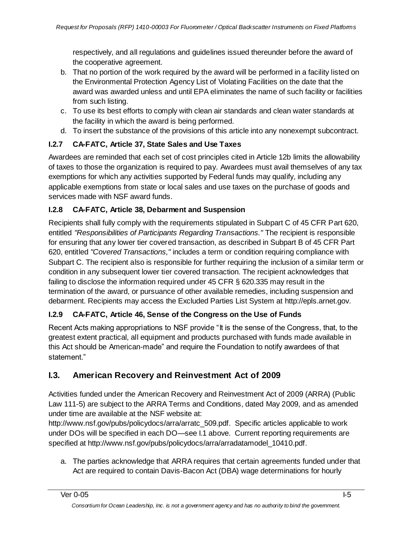respectively, and all regulations and guidelines issued thereunder before the award of the cooperative agreement.

- b. That no portion of the work required by the award will be performed in a facility listed on the Environmental Protection Agency List of Violating Facilities on the date that the award was awarded unless and until EPA eliminates the name of such facility or facilities from such listing.
- c. To use its best efforts to comply with clean air standards and clean water standards at the facility in which the award is being performed.
- d. To insert the substance of the provisions of this article into any nonexempt subcontract.

## **I.2.7 CA-FATC, Article 37, State Sales and Use Taxes**

Awardees are reminded that each set of cost principles cited in Article 12b limits the allowability of taxes to those the organization is required to pay. Awardees must avail themselves of any tax exemptions for which any activities supported by Federal funds may qualify, including any applicable exemptions from state or local sales and use taxes on the purchase of goods and services made with NSF award funds.

## **I.2.8 CA-FATC, Article 38, Debarment and Suspension**

Recipients shall fully comply with the requirements stipulated in Subpart C of 45 CFR Part 620, entitled *"Responsibilities of Participants Regarding Transactions."* The recipient is responsible for ensuring that any lower tier covered transaction, as described in Subpart B of 45 CFR Part 620, entitled *"Covered Transactions,"* includes a term or condition requiring compliance with Subpart C. The recipient also is responsible for further requiring the inclusion of a similar term or condition in any subsequent lower tier covered transaction. The recipient acknowledges that failing to disclose the information required under 45 CFR § 620.335 may result in the termination of the award, or pursuance of other available remedies, including suspension and debarment. Recipients may access the Excluded Parties List System at http://epls.arnet.gov.

## **I.2.9 CA-FATC, Article 46, Sense of the Congress on the Use of Funds**

Recent Acts making appropriations to NSF provide "It is the sense of the Congress, that, to the greatest extent practical, all equipment and products purchased with funds made available in this Act should be American-made" and require the Foundation to notify awardees of that statement."

# **I.3. American Recovery and Reinvestment Act of 2009**

Activities funded under the American Recovery and Reinvestment Act of 2009 (ARRA) (Public Law 111-5) are subject to the ARRA Terms and Conditions, dated May 2009, and as amended under time are available at the NSF website at:

http://www.nsf.gov/pubs/policydocs/arra/arratc\_509.pdf. Specific articles applicable to work under DOs will be specified in each DO—see I.1 above. Current reporting requirements are specified at http://www.nsf.gov/pubs/policydocs/arra/arradatamodel\_10410.pdf.

a. The parties acknowledge that ARRA requires that certain agreements funded under that Act are required to contain Davis-Bacon Act (DBA) wage determinations for hourly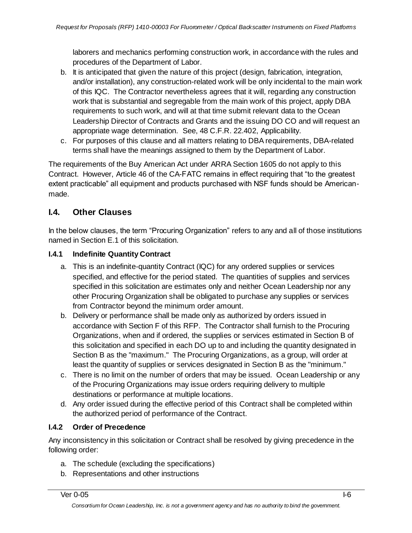laborers and mechanics performing construction work, in accordance with the rules and procedures of the Department of Labor.

- b. It is anticipated that given the nature of this project (design, fabrication, integration, and/or installation), any construction-related work will be only incidental to the main work of this IQC. The Contractor nevertheless agrees that it will, regarding any construction work that is substantial and segregable from the main work of this project, apply DBA requirements to such work, and will at that time submit relevant data to the Ocean Leadership Director of Contracts and Grants and the issuing DO CO and will request an appropriate wage determination. See, 48 C.F.R. 22.402, Applicability.
- c. For purposes of this clause and all matters relating to DBA requirements, DBA-related terms shall have the meanings assigned to them by the Department of Labor.

The requirements of the Buy American Act under ARRA Section 1605 do not apply to this Contract. However, Article 46 of the CA-FATC remains in effect requiring that "to the greatest extent practicable" all equipment and products purchased with NSF funds should be Americanmade.

## **I.4. Other Clauses**

In the below clauses, the term "Procuring Organization" refers to any and all of those institutions named in Section E.1 of this solicitation.

## **I.4.1 Indefinite Quantity Contract**

- a. This is an indefinite-quantity Contract (IQC) for any ordered supplies or services specified, and effective for the period stated. The quantities of supplies and services specified in this solicitation are estimates only and neither Ocean Leadership nor any other Procuring Organization shall be obligated to purchase any supplies or services from Contractor beyond the minimum order amount.
- b. Delivery or performance shall be made only as authorized by orders issued in accordance with Section F of this RFP. The Contractor shall furnish to the Procuring Organizations, when and if ordered, the supplies or services estimated in Section B of this solicitation and specified in each DO up to and including the quantity designated in Section B as the "maximum." The Procuring Organizations, as a group, will order at least the quantity of supplies or services designated in Section B as the "minimum."
- c. There is no limit on the number of orders that may be issued. Ocean Leadership or any of the Procuring Organizations may issue orders requiring delivery to multiple destinations or performance at multiple locations.
- d. Any order issued during the effective period of this Contract shall be completed within the authorized period of performance of the Contract.

## **I.4.2 Order of Precedence**

Any inconsistency in this solicitation or Contract shall be resolved by giving precedence in the following order:

- a. The schedule (excluding the specifications)
- b. Representations and other instructions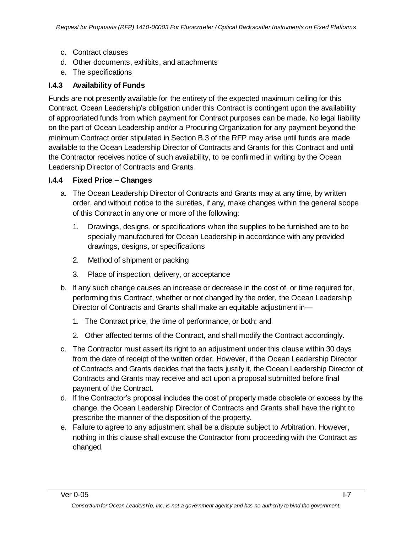- c. Contract clauses
- d. Other documents, exhibits, and attachments
- e. The specifications

## **I.4.3 Availability of Funds**

Funds are not presently available for the entirety of the expected maximum ceiling for this Contract. Ocean Leadership's obligation under this Contract is contingent upon the availability of appropriated funds from which payment for Contract purposes can be made. No legal liability on the part of Ocean Leadership and/or a Procuring Organization for any payment beyond the minimum Contract order stipulated in Section B.3 of the RFP may arise until funds are made available to the Ocean Leadership Director of Contracts and Grants for this Contract and until the Contractor receives notice of such availability, to be confirmed in writing by the Ocean Leadership Director of Contracts and Grants.

### **I.4.4 Fixed Price – Changes**

- a. The Ocean Leadership Director of Contracts and Grants may at any time, by written order, and without notice to the sureties, if any, make changes within the general scope of this Contract in any one or more of the following:
	- 1. Drawings, designs, or specifications when the supplies to be furnished are to be specially manufactured for Ocean Leadership in accordance with any provided drawings, designs, or specifications
	- 2. Method of shipment or packing
	- 3. Place of inspection, delivery, or acceptance
- b. If any such change causes an increase or decrease in the cost of, or time required for, performing this Contract, whether or not changed by the order, the Ocean Leadership Director of Contracts and Grants shall make an equitable adjustment in—
	- 1. The Contract price, the time of performance, or both; and
	- 2. Other affected terms of the Contract, and shall modify the Contract accordingly.
- c. The Contractor must assert its right to an adjustment under this clause within 30 days from the date of receipt of the written order. However, if the Ocean Leadership Director of Contracts and Grants decides that the facts justify it, the Ocean Leadership Director of Contracts and Grants may receive and act upon a proposal submitted before final payment of the Contract.
- d. If the Contractor's proposal includes the cost of property made obsolete or excess by the change, the Ocean Leadership Director of Contracts and Grants shall have the right to prescribe the manner of the disposition of the property.
- e. Failure to agree to any adjustment shall be a dispute subject to Arbitration. However, nothing in this clause shall excuse the Contractor from proceeding with the Contract as changed.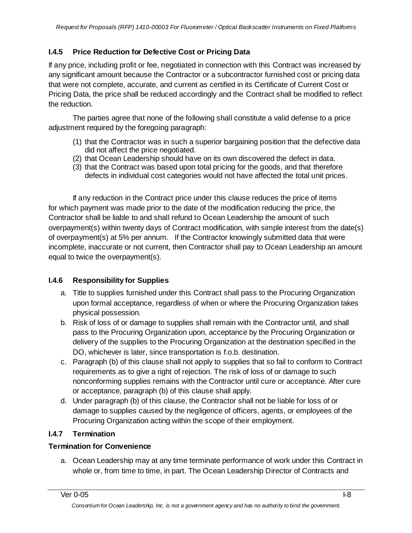## **I.4.5 Price Reduction for Defective Cost or Pricing Data**

If any price, including profit or fee, negotiated in connection with this Contract was increased by any significant amount because the Contractor or a subcontractor furnished cost or pricing data that were not complete, accurate, and current as certified in its Certificate of Current Cost or Pricing Data, the price shall be reduced accordingly and the Contract shall be modified to reflect the reduction.

The parties agree that none of the following shall constitute a valid defense to a price adjustment required by the foregoing paragraph:

- (1) that the Contractor was in such a superior bargaining position that the defective data did not affect the price negotiated.
- (2) that Ocean Leadership should have on its own discovered the defect in data.
- (3) that the Contract was based upon total pricing for the goods, and that therefore defects in individual cost categories would not have affected the total unit prices.

If any reduction in the Contract price under this clause reduces the price of items for which payment was made prior to the date of the modification reducing the price, the Contractor shall be liable to and shall refund to Ocean Leadership the amount of such overpayment(s) within twenty days of Contract modification, with simple interest from the date(s) of overpayment(s) at 5% per annum. If the Contractor knowingly submitted data that were incomplete, inaccurate or not current, then Contractor shall pay to Ocean Leadership an amount equal to twice the overpayment(s).

## **I.4.6 Responsibility for Supplies**

- a. Title to supplies furnished under this Contract shall pass to the Procuring Organization upon formal acceptance, regardless of when or where the Procuring Organization takes physical possession.
- b. Risk of loss of or damage to supplies shall remain with the Contractor until, and shall pass to the Procuring Organization upon, acceptance by the Procuring Organization or delivery of the supplies to the Procuring Organization at the destination specified in the DO, whichever is later, since transportation is f.o.b. destination.
- c. Paragraph (b) of this clause shall not apply to supplies that so fail to conform to Contract requirements as to give a right of rejection. The risk of loss of or damage to such nonconforming supplies remains with the Contractor until cure or acceptance. After cure or acceptance, paragraph (b) of this clause shall apply.
- d. Under paragraph (b) of this clause, the Contractor shall not be liable for loss of or damage to supplies caused by the negligence of officers, agents, or employees of the Procuring Organization acting within the scope of their employment.

## **I.4.7 Termination**

### **Termination for Convenience**

a. Ocean Leadership may at any time terminate performance of work under this Contract in whole or, from time to time, in part. The Ocean Leadership Director of Contracts and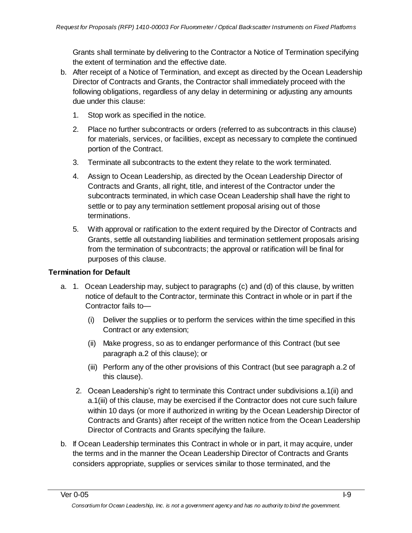Grants shall terminate by delivering to the Contractor a Notice of Termination specifying the extent of termination and the effective date.

- b. After receipt of a Notice of Termination, and except as directed by the Ocean Leadership Director of Contracts and Grants, the Contractor shall immediately proceed with the following obligations, regardless of any delay in determining or adjusting any amounts due under this clause:
	- 1. Stop work as specified in the notice.
	- 2. Place no further subcontracts or orders (referred to as subcontracts in this clause) for materials, services, or facilities, except as necessary to complete the continued portion of the Contract.
	- 3. Terminate all subcontracts to the extent they relate to the work terminated.
	- 4. Assign to Ocean Leadership, as directed by the Ocean Leadership Director of Contracts and Grants, all right, title, and interest of the Contractor under the subcontracts terminated, in which case Ocean Leadership shall have the right to settle or to pay any termination settlement proposal arising out of those terminations.
	- 5. With approval or ratification to the extent required by the Director of Contracts and Grants, settle all outstanding liabilities and termination settlement proposals arising from the termination of subcontracts; the approval or ratification will be final for purposes of this clause.

### **Termination for Default**

- a. 1. Ocean Leadership may, subject to paragraphs (c) and (d) of this clause, by written notice of default to the Contractor, terminate this Contract in whole or in part if the Contractor fails to—
	- (i) Deliver the supplies or to perform the services within the time specified in this Contract or any extension;
	- (ii) Make progress, so as to endanger performance of this Contract (but see paragraph a.2 of this clause); or
	- (iii) Perform any of the other provisions of this Contract (but see paragraph a.2 of this clause).
	- 2. Ocean Leadership's right to terminate this Contract under subdivisions a.1(ii) and a.1(iii) of this clause, may be exercised if the Contractor does not cure such failure within 10 days (or more if authorized in writing by the Ocean Leadership Director of Contracts and Grants) after receipt of the written notice from the Ocean Leadership Director of Contracts and Grants specifying the failure.
- b. If Ocean Leadership terminates this Contract in whole or in part, it may acquire, under the terms and in the manner the Ocean Leadership Director of Contracts and Grants considers appropriate, supplies or services similar to those terminated, and the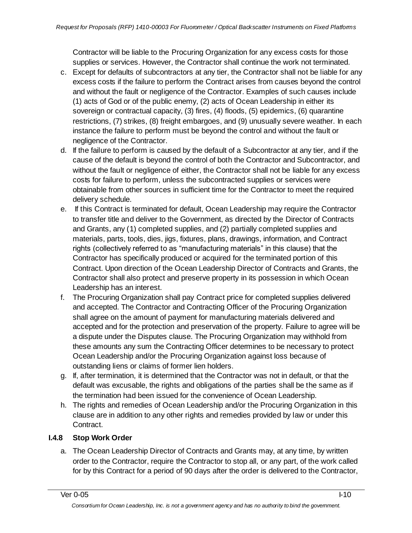Contractor will be liable to the Procuring Organization for any excess costs for those supplies or services. However, the Contractor shall continue the work not terminated.

- c. Except for defaults of subcontractors at any tier, the Contractor shall not be liable for any excess costs if the failure to perform the Contract arises from causes beyond the control and without the fault or negligence of the Contractor. Examples of such causes include (1) acts of God or of the public enemy, (2) acts of Ocean Leadership in either its sovereign or contractual capacity, (3) fires, (4) floods, (5) epidemics, (6) quarantine restrictions, (7) strikes, (8) freight embargoes, and (9) unusually severe weather. In each instance the failure to perform must be beyond the control and without the fault or negligence of the Contractor.
- d. If the failure to perform is caused by the default of a Subcontractor at any tier, and if the cause of the default is beyond the control of both the Contractor and Subcontractor, and without the fault or negligence of either, the Contractor shall not be liable for any excess costs for failure to perform, unless the subcontracted supplies or services were obtainable from other sources in sufficient time for the Contractor to meet the required delivery schedule.
- e. If this Contract is terminated for default, Ocean Leadership may require the Contractor to transfer title and deliver to the Government, as directed by the Director of Contracts and Grants, any (1) completed supplies, and (2) partially completed supplies and materials, parts, tools, dies, jigs, fixtures, plans, drawings, information, and Contract rights (collectively referred to as "manufacturing materials" in this clause) that the Contractor has specifically produced or acquired for the terminated portion of this Contract. Upon direction of the Ocean Leadership Director of Contracts and Grants, the Contractor shall also protect and preserve property in its possession in which Ocean Leadership has an interest.
- f. The Procuring Organization shall pay Contract price for completed supplies delivered and accepted. The Contractor and Contracting Officer of the Procuring Organization shall agree on the amount of payment for manufacturing materials delivered and accepted and for the protection and preservation of the property. Failure to agree will be a dispute under the Disputes clause. The Procuring Organization may withhold from these amounts any sum the Contracting Officer determines to be necessary to protect Ocean Leadership and/or the Procuring Organization against loss because of outstanding liens or claims of former lien holders.
- g. If, after termination, it is determined that the Contractor was not in default, or that the default was excusable, the rights and obligations of the parties shall be the same as if the termination had been issued for the convenience of Ocean Leadership.
- h. The rights and remedies of Ocean Leadership and/or the Procuring Organization in this clause are in addition to any other rights and remedies provided by law or under this Contract.

## **I.4.8 Stop Work Order**

a. The Ocean Leadership Director of Contracts and Grants may, at any time, by written order to the Contractor, require the Contractor to stop all, or any part, of the work called for by this Contract for a period of 90 days after the order is delivered to the Contractor,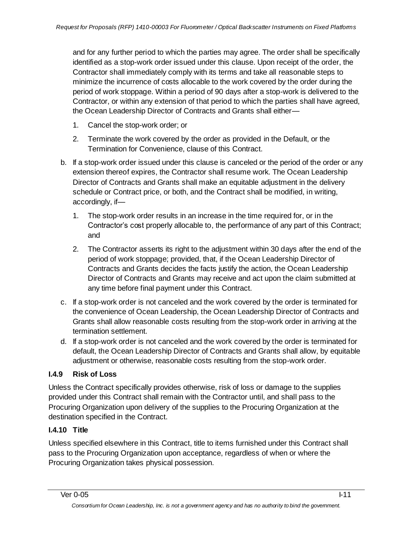and for any further period to which the parties may agree. The order shall be specifically identified as a stop-work order issued under this clause. Upon receipt of the order, the Contractor shall immediately comply with its terms and take all reasonable steps to minimize the incurrence of costs allocable to the work covered by the order during the period of work stoppage. Within a period of 90 days after a stop-work is delivered to the Contractor, or within any extension of that period to which the parties shall have agreed, the Ocean Leadership Director of Contracts and Grants shall either—

- 1. Cancel the stop-work order; or
- 2. Terminate the work covered by the order as provided in the Default, or the Termination for Convenience, clause of this Contract.
- b. If a stop-work order issued under this clause is canceled or the period of the order or any extension thereof expires, the Contractor shall resume work. The Ocean Leadership Director of Contracts and Grants shall make an equitable adjustment in the delivery schedule or Contract price, or both, and the Contract shall be modified, in writing, accordingly, if—
	- 1. The stop-work order results in an increase in the time required for, or in the Contractor's cost properly allocable to, the performance of any part of this Contract; and
	- 2. The Contractor asserts its right to the adjustment within 30 days after the end of the period of work stoppage; provided, that, if the Ocean Leadership Director of Contracts and Grants decides the facts justify the action, the Ocean Leadership Director of Contracts and Grants may receive and act upon the claim submitted at any time before final payment under this Contract.
- c. If a stop-work order is not canceled and the work covered by the order is terminated for the convenience of Ocean Leadership, the Ocean Leadership Director of Contracts and Grants shall allow reasonable costs resulting from the stop-work order in arriving at the termination settlement.
- d. If a stop-work order is not canceled and the work covered by the order is terminated for default, the Ocean Leadership Director of Contracts and Grants shall allow, by equitable adjustment or otherwise, reasonable costs resulting from the stop-work order.

## **I.4.9 Risk of Loss**

Unless the Contract specifically provides otherwise, risk of loss or damage to the supplies provided under this Contract shall remain with the Contractor until, and shall pass to the Procuring Organization upon delivery of the supplies to the Procuring Organization at the destination specified in the Contract.

## **I.4.10 Title**

Unless specified elsewhere in this Contract, title to items furnished under this Contract shall pass to the Procuring Organization upon acceptance, regardless of when or where the Procuring Organization takes physical possession.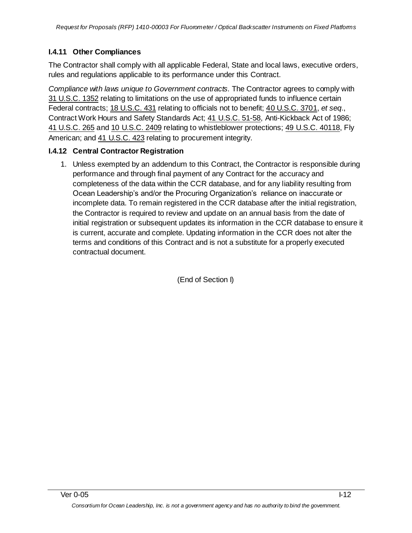## **I.4.11 Other Compliances**

The Contractor shall comply with all applicable Federal, State and local laws, executive orders, rules and regulations applicable to its performance under this Contract.

*Compliance with laws unique to Government contracts.* The Contractor agrees to comply with 31 [U.S.C.](http://uscode.house.gov/uscode-cgi/fastweb.exe?getdoc+uscview+t29t32+1665+30++%2831%29%20%20AND%20%28%2831%29%20ADJ%20USC%29%3ACITE%20%20%20%20%20%20%20%20%20) 1352 relating to limitations on the use of appropriated funds to influence certain Federal contracts; 18 [U.S.C.](http://uscode.house.gov/uscode-cgi/fastweb.exe?getdoc+uscview+t17t20+160+141++%2818%29%20%25) 431 relating to officials not to benefit; 40 [U.S.C.](http://uscode.house.gov/uscode-cgi/fastweb.exe?getdoc+uscview+t37t40+1574+51++%2840%29%20%20AND%20%28%2840%29%20ADJ%20USC%29%3ACITE%20%20%20%20%20%20%20%20%20) 3701, *et seq*., Contract Work Hours and Safety Standards Act; 41 [U.S.C.](http://uscode.house.gov/uscode-cgi/fastweb.exe?getdoc+uscview+t41t42+2+13++%2841%29%20%20AND%20%28%2841%29%20ADJ%20USC%29%3ACITE%20%20%20%20%20%20%20%20%20) 51-58, Anti-Kickback Act of 1986; 41 [U.S.C.](http://uscode.house.gov/uscode-cgi/fastweb.exe?getdoc+uscview+t41t42+2+13++%2841%29%20%20AND%20%28%2841%29%20ADJ%20USC%29%3ACITE%20%20%20%20%20%20%20%20%20) 265 and 10 [U.S.C.](http://uscode.house.gov/uscode-cgi/fastweb.exe?getdoc+uscview+t09t12+37+408++%2810%29%20%252) 2409 relating to whistleblower protections; 49 U.S.C. [40118,](http://uscode.house.gov/uscode-cgi/fastweb.exe?getdoc+uscview+t49t50+2+224++%2849%29%20%20AND%20%28%2849%29%20ADJ%20USC%29%3ACITE%20%20%20%20%20%20%20%20%20) Fly American; and 41 [U.S.C.](http://uscode.house.gov/uscode-cgi/fastweb.exe?getdoc+uscview+t41t42+2+13++%2841%29%20%20AND%20%28%2841%29%20ADJ%20USC%29%3ACITE%20%20%20%20%20%20%20%20%20) 423 relating to procurement integrity.

### **I.4.12 Central Contractor Registration**

1. Unless exempted by an addendum to this Contract, the Contractor is responsible during performance and through final payment of any Contract for the accuracy and completeness of the data within the CCR database, and for any liability resulting from Ocean Leadership's and/or the Procuring Organization's reliance on inaccurate or incomplete data. To remain registered in the CCR database after the initial registration, the Contractor is required to review and update on an annual basis from the date of initial registration or subsequent updates its information in the CCR database to ensure it is current, accurate and complete. Updating information in the CCR does not alter the terms and conditions of this Contract and is not a substitute for a properly executed contractual document.

(End of Section I)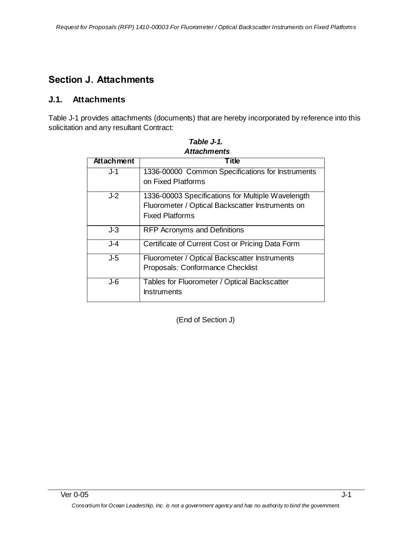# **Section J. Attachments**

## **J.1. Attachments**

Table J-1 provides attachments (documents) that are hereby incorporated by reference into this solicitation and any resultant Contract:

| Allauffilitio     |                                                   |  |
|-------------------|---------------------------------------------------|--|
| <b>Attachment</b> | Title                                             |  |
| J-1               | 1336-00000 Common Specifications for Instruments  |  |
|                   | on Fixed Platforms                                |  |
| $J-2$             | 1336-00003 Specifications for Multiple Wavelength |  |
|                   | Fluorometer / Optical Backscatter Instruments on  |  |
|                   | <b>Fixed Platforms</b>                            |  |
| $J-3$             | <b>RFP Acronyms and Definitions</b>               |  |
| J-4               | Certificate of Current Cost or Pricing Data Form  |  |
| $J-5$             | Fluorometer / Optical Backscatter Instruments     |  |
|                   | Proposals: Conformance Checklist                  |  |
| J-6               | Tables for Fluorometer / Optical Backscatter      |  |
|                   | <b>Instruments</b>                                |  |

*Table J-1. Attachments*

(End of Section J)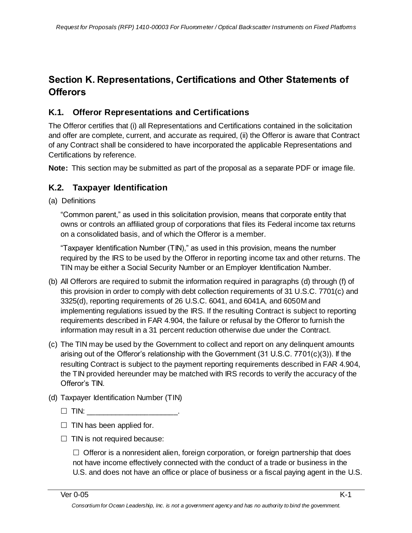# **Section K. Representations, Certifications and Other Statements of Offerors**

## **K.1. Offeror Representations and Certifications**

The Offeror certifies that (i) all Representations and Certifications contained in the solicitation and offer are complete, current, and accurate as required, (ii) the Offeror is aware that Contract of any Contract shall be considered to have incorporated the applicable Representations and Certifications by reference.

**Note:** This section may be submitted as part of the proposal as a separate PDF or image file.

## **K.2. Taxpayer Identification**

(a) Definitions

―Common parent,‖ as used in this solicitation provision, means that corporate entity that owns or controls an affiliated group of corporations that files its Federal income tax returns on a consolidated basis, and of which the Offeror is a member.

"Taxpayer Identification Number (TIN)," as used in this provision, means the number required by the IRS to be used by the Offeror in reporting income tax and other returns. The TIN may be either a Social Security Number or an Employer Identification Number.

- (b) All Offerors are required to submit the information required in paragraphs (d) through (f) of this provision in order to comply with debt collection requirements of 31 U.S.C. 7701(c) and 3325(d), reporting requirements of 26 U.S.C. 6041, and 6041A, and 6050M and implementing regulations issued by the IRS. If the resulting Contract is subject to reporting requirements described in FAR 4.904, the failure or refusal by the Offeror to furnish the information may result in a 31 percent reduction otherwise due under the Contract.
- (c) The TIN may be used by the Government to collect and report on any delinquent amounts arising out of the Offeror's relationship with the Government (31 U.S.C. 7701(c)(3)). If the resulting Contract is subject to the payment reporting requirements described in FAR 4.904, the TIN provided hereunder may be matched with IRS records to verify the accuracy of the Offeror's TIN.
- (d) Taxpayer Identification Number (TIN)
	- $\Box$  TIN:
	- $\Box$  TIN has been applied for.
	- $\Box$  TIN is not required because:

 $\Box$  Offeror is a nonresident alien, foreign corporation, or foreign partnership that does not have income effectively connected with the conduct of a trade or business in the U.S. and does not have an office or place of business or a fiscal paying agent in the U.S.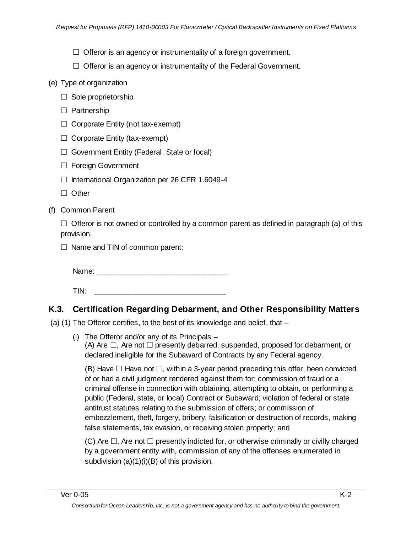- $\Box$  Offeror is an agency or instrumentality of a foreign government.
- $\Box$  Offeror is an agency or instrumentality of the Federal Government.
- (e) Type of organization
	- $\Box$  Sole proprietorship
	- $\Box$  Partnership
	- $\Box$  Corporate Entity (not tax-exempt)
	- $\Box$  Corporate Entity (tax-exempt)
	- $\Box$  Government Entity (Federal, State or local)
	- □ Foreign Government
	- $\Box$  International Organization per 26 CFR 1.6049-4
	- $\Box$  Other
- (f) Common Parent

 $\Box$  Offeror is not owned or controlled by a common parent as defined in paragraph (a) of this provision.

 $\Box$  Name and TIN of common parent:

Name:  $\Box$ 

 $\mathsf{TIN:}\qquad \qquad \blacksquare$ 

## **K.3. Certification Regarding Debarment, and Other Responsibility Matters**

(a) (1) The Offeror certifies, to the best of its knowledge and belief, that –

(i) The Offeror and/or any of its Principals – (A) Are  $\Box$ , Are not  $\Box$  presently debarred, suspended, proposed for debarment, or declared ineligible for the Subaward of Contracts by any Federal agency.

(B) Have  $\Box$  Have not  $\Box$ , within a 3-year period preceding this offer, been convicted of or had a civil judgment rendered against them for: commission of fraud or a criminal offense in connection with obtaining, attempting to obtain, or performing a public (Federal, state, or local) Contract or Subaward; violation of federal or state antitrust statutes relating to the submission of offers; or commission of embezzlement, theft, forgery, bribery, falsification or destruction of records, making false statements, tax evasion, or receiving stolen property; and

(C) Are  $\Box$ , Are not  $\Box$  presently indicted for, or otherwise criminally or civilly charged by a government entity with, commission of any of the offenses enumerated in subdivision (a)(1)(i)(B) of this provision.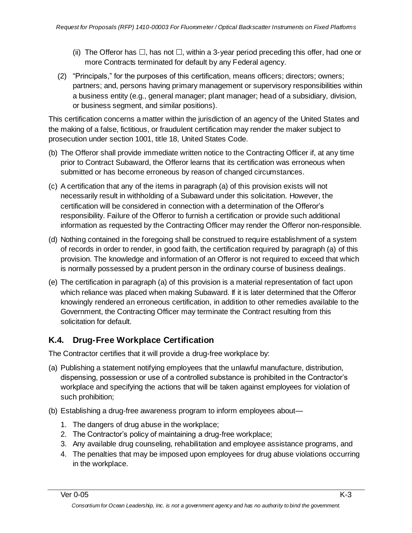- (ii) The Offeror has  $\Box$ , has not  $\Box$ , within a 3-year period preceding this offer, had one or more Contracts terminated for default by any Federal agency.
- (2) "Principals," for the purposes of this certification, means officers; directors; owners; partners; and, persons having primary management or supervisory responsibilities within a business entity (e.g., general manager; plant manager; head of a subsidiary, division, or business segment, and similar positions).

This certification concerns a matter within the jurisdiction of an agency of the United States and the making of a false, fictitious, or fraudulent certification may render the maker subject to prosecution under section 1001, title 18, United States Code.

- (b) The Offeror shall provide immediate written notice to the Contracting Officer if, at any time prior to Contract Subaward, the Offeror learns that its certification was erroneous when submitted or has become erroneous by reason of changed circumstances.
- (c) A certification that any of the items in paragraph (a) of this provision exists will not necessarily result in withholding of a Subaward under this solicitation. However, the certification will be considered in connection with a determination of the Offeror's responsibility. Failure of the Offeror to furnish a certification or provide such additional information as requested by the Contracting Officer may render the Offeror non-responsible.
- (d) Nothing contained in the foregoing shall be construed to require establishment of a system of records in order to render, in good faith, the certification required by paragraph (a) of this provision. The knowledge and information of an Offeror is not required to exceed that which is normally possessed by a prudent person in the ordinary course of business dealings.
- (e) The certification in paragraph (a) of this provision is a material representation of fact upon which reliance was placed when making Subaward. If it is later determined that the Offeror knowingly rendered an erroneous certification, in addition to other remedies available to the Government, the Contracting Officer may terminate the Contract resulting from this solicitation for default.

# **K.4. Drug-Free Workplace Certification**

The Contractor certifies that it will provide a drug-free workplace by:

- (a) Publishing a statement notifying employees that the unlawful manufacture, distribution, dispensing, possession or use of a controlled substance is prohibited in the Contractor's workplace and specifying the actions that will be taken against employees for violation of such prohibition;
- (b) Establishing a drug-free awareness program to inform employees about—
	- 1. The dangers of drug abuse in the workplace;
	- 2. The Contractor's policy of maintaining a drug-free workplace;
	- 3. Any available drug counseling, rehabilitation and employee assistance programs, and
	- 4. The penalties that may be imposed upon employees for drug abuse violations occurring in the workplace.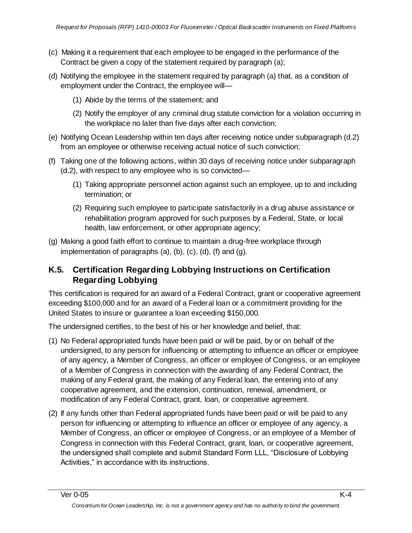- (c) Making it a requirement that each employee to be engaged in the performance of the Contract be given a copy of the statement required by paragraph (a);
- (d) Notifying the employee in the statement required by paragraph (a) that, as a condition of employment under the Contract, the employee will—
	- (1) Abide by the terms of the statement; and
	- (2) Notify the employer of any criminal drug statute conviction for a violation occurring in the workplace no later than five days after each conviction;
- (e) Notifying Ocean Leadership within ten days after receiving notice under subparagraph (d.2) from an employee or otherwise receiving actual notice of such conviction;
- (f) Taking one of the following actions, within 30 days of receiving notice under subparagraph (d.2), with respect to any employee who is so convicted—
	- (1) Taking appropriate personnel action against such an employee, up to and including termination; or
	- (2) Requiring such employee to participate satisfactorily in a drug abuse assistance or rehabilitation program approved for such purposes by a Federal, State, or local health, law enforcement, or other appropriate agency;
- (g) Making a good faith effort to continue to maintain a drug-free workplace through implementation of paragraphs (a), (b), (c), (d), (f) and (g).

## **K.5. Certification Regarding Lobbying Instructions on Certification Regarding Lobbying**

This certification is required for an award of a Federal Contract, grant or cooperative agreement exceeding \$100,000 and for an award of a Federal loan or a commitment providing for the United States to insure or guarantee a loan exceeding \$150,000.

The undersigned certifies, to the best of his or her knowledge and belief, that:

- (1) No Federal appropriated funds have been paid or will be paid, by or on behalf of the undersigned, to any person for influencing or attempting to influence an officer or employee of any agency, a Member of Congress, an officer or employee of Congress, or an employee of a Member of Congress in connection with the awarding of any Federal Contract, the making of any Federal grant, the making of any Federal loan, the entering into of any cooperative agreement, and the extension, continuation, renewal, amendment, or modification of any Federal Contract, grant, loan, or cooperative agreement.
- (2) If any funds other than Federal appropriated funds have been paid or will be paid to any person for influencing or attempting to influence an officer or employee of any agency, a Member of Congress, an officer or employee of Congress, or an employee of a Member of Congress in connection with this Federal Contract, grant, loan, or cooperative agreement, the undersigned shall complete and submit Standard Form LLL, "Disclosure of Lobbying Activities," in accordance with its instructions.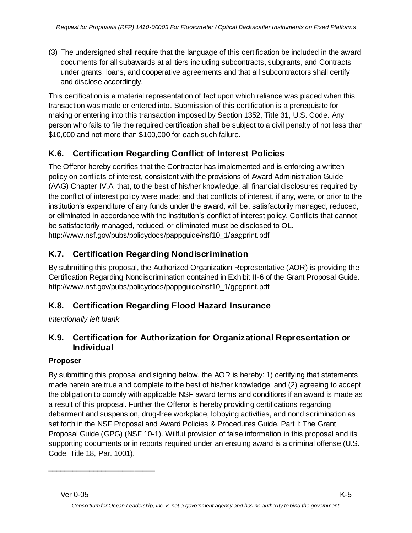(3) The undersigned shall require that the language of this certification be included in the award documents for all subawards at all tiers including subcontracts, subgrants, and Contracts under grants, loans, and cooperative agreements and that all subcontractors shall certify and disclose accordingly.

This certification is a material representation of fact upon which reliance was placed when this transaction was made or entered into. Submission of this certification is a prerequisite for making or entering into this transaction imposed by Section 1352, Title 31, U.S. Code. Any person who fails to file the required certification shall be subject to a civil penalty of not less than \$10,000 and not more than \$100,000 for each such failure.

# **K.6. Certification Regarding Conflict of Interest Policies**

The Offeror hereby certifies that the Contractor has implemented and is enforcing a written policy on conflicts of interest, consistent with the provisions of Award Administration Guide (AAG) Chapter IV.A; that, to the best of his/her knowledge, all financial disclosures required by the conflict of interest policy were made; and that conflicts of interest, if any, were, or prior to the institution's expenditure of any funds under the award, will be, satisfactorily managed, reduced, or eliminated in accordance with the institution's conflict of interest policy. Conflicts that cannot be satisfactorily managed, reduced, or eliminated must be disclosed to OL. http://www.nsf.gov/pubs/policydocs/pappguide/nsf10\_1/aagprint.pdf

# **K.7. Certification Regarding Nondiscrimination**

By submitting this proposal, the Authorized Organization Representative (AOR) is providing the Certification Regarding Nondiscrimination contained in Exhibit II-6 of the Grant Proposal Guide. http://www.nsf.gov/pubs/policydocs/pappguide/nsf10\_1/gpgprint.pdf

# **K.8. Certification Regarding Flood Hazard Insurance**

*Intentionally left blank*

\_\_\_\_\_\_\_\_\_\_\_\_\_\_\_\_\_\_\_\_\_\_\_\_\_\_

## **K.9. Certification for Authorization for Organizational Representation or Individual**

### **Proposer**

By submitting this proposal and signing below, the AOR is hereby: 1) certifying that statements made herein are true and complete to the best of his/her knowledge; and (2) agreeing to accept the obligation to comply with applicable NSF award terms and conditions if an award is made as a result of this proposal. Further the Offeror is hereby providing certifications regarding debarment and suspension, drug-free workplace, lobbying activities, and nondiscrimination as set forth in the NSF Proposal and Award Policies & Procedures Guide, Part I: The Grant Proposal Guide (GPG) (NSF 10-1). Willful provision of false information in this proposal and its supporting documents or in reports required under an ensuing award is a criminal offense (U.S. Code, Title 18, Par. 1001).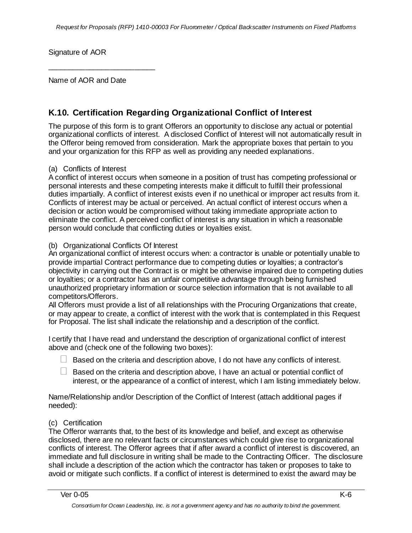Signature of AOR

Name of AOR and Date

\_\_\_\_\_\_\_\_\_\_\_\_\_\_\_\_\_\_\_\_\_\_\_\_\_\_

## **K.10. Certification Regarding Organizational Conflict of Interest**

The purpose of this form is to grant Offerors an opportunity to disclose any actual or potential organizational conflicts of interest. A disclosed Conflict of Interest will not automatically result in the Offeror being removed from consideration. Mark the appropriate boxes that pertain to you and your organization for this RFP as well as providing any needed explanations.

### (a) Conflicts of Interest

A conflict of interest occurs when someone in a position of trust has competing professional or personal interests and these competing interests make it difficult to fulfill their professional duties impartially. A conflict of interest exists even if no unethical or improper act results from it. Conflicts of interest may be actual or perceived. An actual conflict of interest occurs when a decision or action would be compromised without taking immediate appropriate action to eliminate the conflict. A perceived conflict of interest is any situation in which a reasonable person would conclude that conflicting duties or loyalties exist.

#### (b) Organizational Conflicts Of Interest

An organizational conflict of interest occurs when: a contractor is unable or potentially unable to provide impartial Contract performance due to competing duties or loyalties; a contractor's objectivity in carrying out the Contract is or might be otherwise impaired due to competing duties or loyalties; or a contractor has an unfair competitive advantage through being furnished unauthorized proprietary information or source selection information that is not available to all competitors/Offerors.

All Offerors must provide a list of all relationships with the Procuring Organizations that create, or may appear to create, a conflict of interest with the work that is contemplated in this Request for Proposal. The list shall indicate the relationship and a description of the conflict.

I certify that I have read and understand the description of organizational conflict of interest above and (check one of the following two boxes):

- $\Box$  Based on the criteria and description above, I do not have any conflicts of interest.
- Based on the criteria and description above, I have an actual or potential conflict of interest, or the appearance of a conflict of interest, which I am listing immediately below.

Name/Relationship and/or Description of the Conflict of Interest (attach additional pages if needed):

### (c) Certification

The Offeror warrants that, to the best of its knowledge and belief, and except as otherwise disclosed, there are no relevant facts or circumstances which could give rise to organizational conflicts of interest. The Offeror agrees that if after award a conflict of interest is discovered, an immediate and full disclosure in writing shall be made to the Contracting Officer. The disclosure shall include a description of the action which the contractor has taken or proposes to take to avoid or mitigate such conflicts. If a conflict of interest is determined to exist the award may be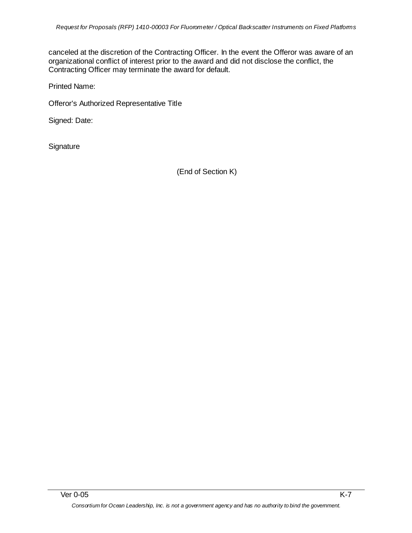canceled at the discretion of the Contracting Officer. In the event the Offeror was aware of an organizational conflict of interest prior to the award and did not disclose the conflict, the Contracting Officer may terminate the award for default.

Printed Name:

Offeror's Authorized Representative Title

Signed: Date:

**Signature** 

(End of Section K)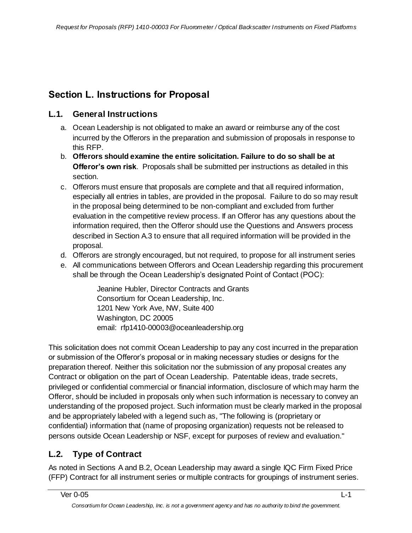# **Section L. Instructions for Proposal**

## **L.1. General Instructions**

- a. Ocean Leadership is not obligated to make an award or reimburse any of the cost incurred by the Offerors in the preparation and submission of proposals in response to this RFP.
- b. **Offerors should examine the entire solicitation. Failure to do so shall be at Offeror's own risk**. Proposals shall be submitted per instructions as detailed in this section.
- c. Offerors must ensure that proposals are complete and that all required information, especially all entries in tables, are provided in the proposal. Failure to do so may result in the proposal being determined to be non-compliant and excluded from further evaluation in the competitive review process. If an Offeror has any questions about the information required, then the Offeror should use the Questions and Answers process described in Section A.3 to ensure that all required information will be provided in the proposal.
- d. Offerors are strongly encouraged, but not required, to propose for all instrument series
- e. All communications between Offerors and Ocean Leadership regarding this procurement shall be through the Ocean Leadership's designated Point of Contact (POC):

Jeanine Hubler, Director Contracts and Grants Consortium for Ocean Leadership, Inc. 1201 New York Ave, NW, Suite 400 Washington, DC 20005 email: rfp1410-00003@oceanleadership.org

This solicitation does not commit Ocean Leadership to pay any cost incurred in the preparation or submission of the Offeror's proposal or in making necessary studies or designs for the preparation thereof. Neither this solicitation nor the submission of any proposal creates any Contract or obligation on the part of Ocean Leadership. Patentable ideas, trade secrets, privileged or confidential commercial or financial information, disclosure of which may harm the Offeror, should be included in proposals only when such information is necessary to convey an understanding of the proposed project. Such information must be clearly marked in the proposal and be appropriately labeled with a legend such as, "The following is (proprietary or confidential) information that (name of proposing organization) requests not be released to persons outside Ocean Leadership or NSF, except for purposes of review and evaluation."

# **L.2. Type of Contract**

As noted in Sections A and B.2, Ocean Leadership may award a single IQC Firm Fixed Price (FFP) Contract for all instrument series or multiple contracts for groupings of instrument series.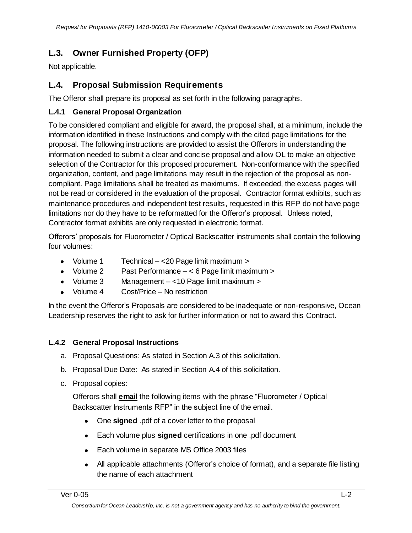# **L.3. Owner Furnished Property (OFP)**

Not applicable.

## **L.4. Proposal Submission Requirements**

The Offeror shall prepare its proposal as set forth in the following paragraphs.

## **L.4.1 General Proposal Organization**

To be considered compliant and eligible for award, the proposal shall, at a minimum, include the information identified in these Instructions and comply with the cited page limitations for the proposal. The following instructions are provided to assist the Offerors in understanding the information needed to submit a clear and concise proposal and allow OL to make an objective selection of the Contractor for this proposed procurement. Non-conformance with the specified organization, content, and page limitations may result in the rejection of the proposal as noncompliant. Page limitations shall be treated as maximums. If exceeded, the excess pages will not be read or considered in the evaluation of the proposal. Contractor format exhibits, such as maintenance procedures and independent test results, requested in this RFP do not have page limitations nor do they have to be reformatted for the Offeror's proposal. Unless noted, Contractor format exhibits are only requested in electronic format.

Offerors' proposals for Fluorometer / Optical Backscatter instruments shall contain the following four volumes:

- Volume 1 Technical <20 Page limit maximum >
- Volume 2 Past Performance < 6 Page limit maximum >
- Volume 3 Management <10 Page limit maximum >
- Volume 4 Cost/Price No restriction

In the event the Offeror's Proposals are considered to be inadequate or non-responsive, Ocean Leadership reserves the right to ask for further information or not to award this Contract.

## **L.4.2 General Proposal Instructions**

- a. Proposal Questions: As stated in Section A.3 of this solicitation.
- b. Proposal Due Date: As stated in Section A.4 of this solicitation.
- c. Proposal copies:

Offerors shall **email** the following items with the phrase "Fluorometer / Optical Backscatter Instruments RFP" in the subject line of the email.

- $\bullet$ One **signed** .pdf of a cover letter to the proposal
- Each volume plus **signed** certifications in one .pdf document
- Each volume in separate MS Office 2003 files
- All applicable attachments (Offeror's choice of format), and a separate file listing the name of each attachment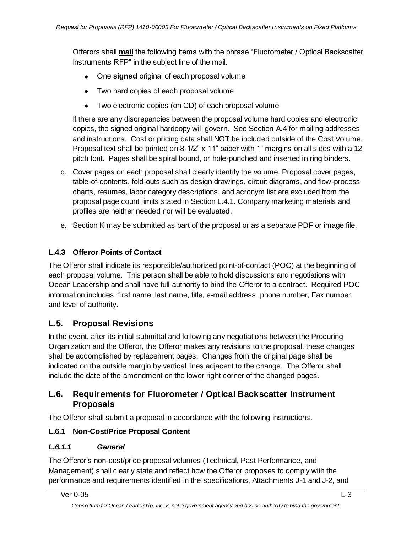Offerors shall **mail** the following items with the phrase "Fluorometer / Optical Backscatter Instruments RFP" in the subject line of the mail.

- One **signed** original of each proposal volume
- Two hard copies of each proposal volume
- Two electronic copies (on CD) of each proposal volume

If there are any discrepancies between the proposal volume hard copies and electronic copies, the signed original hardcopy will govern. See Section A.4 for mailing addresses and instructions. Cost or pricing data shall NOT be included outside of the Cost Volume. Proposal text shall be printed on 8-1/2"  $\times$  11" paper with 1" margins on all sides with a 12 pitch font. Pages shall be spiral bound, or hole-punched and inserted in ring binders.

- d. Cover pages on each proposal shall clearly identify the volume. Proposal cover pages, table-of-contents, fold-outs such as design drawings, circuit diagrams, and flow-process charts, resumes, labor category descriptions, and acronym list are excluded from the proposal page count limits stated in Section L.4.1. Company marketing materials and profiles are neither needed nor will be evaluated.
- e. Section K may be submitted as part of the proposal or as a separate PDF or image file.

## **L.4.3 Offeror Points of Contact**

The Offeror shall indicate its responsible/authorized point-of-contact (POC) at the beginning of each proposal volume. This person shall be able to hold discussions and negotiations with Ocean Leadership and shall have full authority to bind the Offeror to a contract. Required POC information includes: first name, last name, title, e-mail address, phone number, Fax number, and level of authority.

## **L.5. Proposal Revisions**

In the event, after its initial submittal and following any negotiations between the Procuring Organization and the Offeror, the Offeror makes any revisions to the proposal, these changes shall be accomplished by replacement pages. Changes from the original page shall be indicated on the outside margin by vertical lines adjacent to the change. The Offeror shall include the date of the amendment on the lower right corner of the changed pages.

## **L.6. Requirements for Fluorometer / Optical Backscatter Instrument Proposals**

The Offeror shall submit a proposal in accordance with the following instructions.

## **L.6.1 Non-Cost/Price Proposal Content**

## *L.6.1.1 General*

The Offeror's non-cost/price proposal volumes (Technical, Past Performance, and Management) shall clearly state and reflect how the Offeror proposes to comply with the performance and requirements identified in the specifications, Attachments J-1 and J-2, and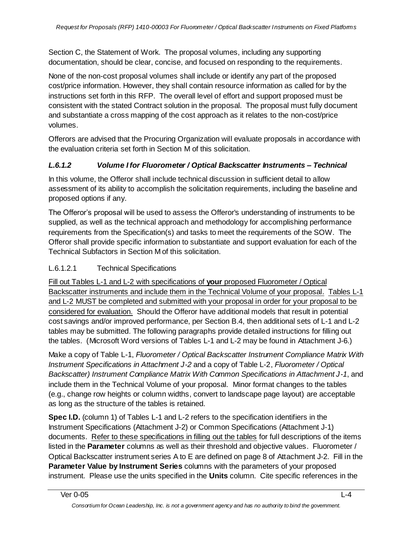Section C, the Statement of Work. The proposal volumes, including any supporting documentation, should be clear, concise, and focused on responding to the requirements.

None of the non-cost proposal volumes shall include or identify any part of the proposed cost/price information. However, they shall contain resource information as called for by the instructions set forth in this RFP. The overall level of effort and support proposed must be consistent with the stated Contract solution in the proposal. The proposal must fully document and substantiate a cross mapping of the cost approach as it relates to the non-cost/price volumes.

Offerors are advised that the Procuring Organization will evaluate proposals in accordance with the evaluation criteria set forth in Section M of this solicitation.

## *L.6.1.2 Volume I for Fluorometer / Optical Backscatter Instruments – Technical*

In this volume, the Offeror shall include technical discussion in sufficient detail to allow assessment of its ability to accomplish the solicitation requirements, including the baseline and proposed options if any.

The Offeror's proposal will be used to assess the Offeror's understanding of instruments to be supplied, as well as the technical approach and methodology for accomplishing performance requirements from the Specification(s) and tasks to meet the requirements of the SOW. The Offeror shall provide specific information to substantiate and support evaluation for each of the Technical Subfactors in Section M of this solicitation.

## L.6.1.2.1 Technical Specifications

Fill out Tables L-1 and L-2 with specifications of **your** proposed Fluorometer / Optical Backscatter instruments and include them in the Technical Volume of your proposal. Tables L-1 and L-2 MUST be completed and submitted with your proposal in order for your proposal to be considered for evaluation. Should the Offeror have additional models that result in potential cost savings and/or improved performance, per Section B.4, then additional sets of L-1 and L-2 tables may be submitted. The following paragraphs provide detailed instructions for filling out the tables. (Microsoft Word versions of Tables L-1 and L-2 may be found in Attachment J-6.)

Make a copy of Table L-1, *Fluorometer / Optical Backscatter Instrument Compliance Matrix With Instrument Specifications in Attachment J-2* and a copy of Table L-2, *Fluorometer / Optical Backscatter) Instrument Compliance Matrix With Common Specifications in Attachment J-1*, and include them in the Technical Volume of your proposal. Minor format changes to the tables (e.g., change row heights or column widths, convert to landscape page layout) are acceptable as long as the structure of the tables is retained.

**Spec I.D.** (column 1) of Tables L-1 and L-2 refers to the specification identifiers in the Instrument Specifications (Attachment J-2) or Common Specifications (Attachment J-1) documents. Refer to these specifications in filling out the tables for full descriptions of the items listed in the **Parameter** columns as well as their threshold and objective values.Fluorometer / Optical Backscatter instrument series A to E are defined on page 8 of Attachment J-2. Fill in the **Parameter Value by Instrument Series** columns with the parameters of your proposed instrument. Please use the units specified in the **Units** column. Cite specific references in the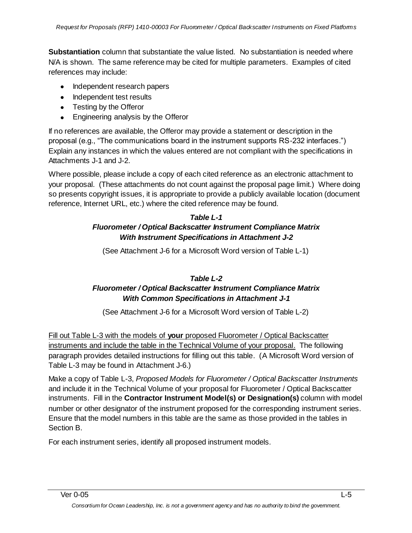**Substantiation** column that substantiate the value listed. No substantiation is needed where N/A is shown. The same reference may be cited for multiple parameters. Examples of cited references may include:

- Independent research papers
- Independent test results
- Testing by the Offeror
- Engineering analysis by the Offeror  $\bullet$

If no references are available, the Offeror may provide a statement or description in the proposal (e.g., "The communications board in the instrument supports RS-232 interfaces.") Explain any instances in which the values entered are not compliant with the specifications in Attachments J-1 and J-2.

Where possible, please include a copy of each cited reference as an electronic attachment to your proposal. (These attachments do not count against the proposal page limit.) Where doing so presents copyright issues, it is appropriate to provide a publicly available location (document reference, Internet URL, etc.) where the cited reference may be found.

### *Table L-1 Fluorometer / Optical Backscatter Instrument Compliance Matrix With Instrument Specifications in Attachment J-2*

(See Attachment J-6 for a Microsoft Word version of Table L-1)

### *Table L-2 Fluorometer / Optical Backscatter Instrument Compliance Matrix With Common Specifications in Attachment J-1*

(See Attachment J-6 for a Microsoft Word version of Table L-2)

Fill out Table L-3 with the models of **your** proposed Fluorometer / Optical Backscatter instruments and include the table in the Technical Volume of your proposal. The following paragraph provides detailed instructions for filling out this table. (A Microsoft Word version of Table L-3 may be found in Attachment J-6.)

Make a copy of Table L-3, *Proposed Models for Fluorometer / Optical Backscatter Instruments*  and include it in the Technical Volume of your proposal for Fluorometer / Optical Backscatter instruments. Fill in the **Contractor Instrument Model(s) or Designation(s)** column with model number or other designator of the instrument proposed for the corresponding instrument series. Ensure that the model numbers in this table are the same as those provided in the tables in Section B.

For each instrument series, identify all proposed instrument models.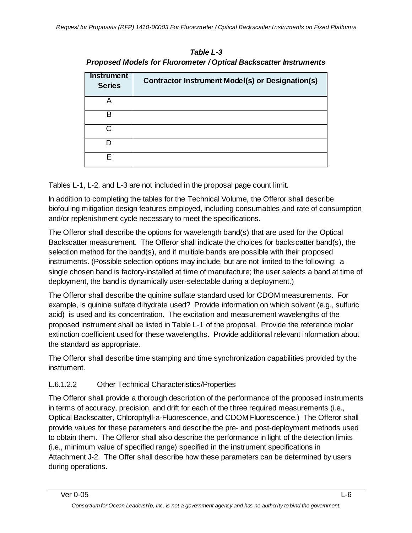| <b>Instrument</b><br><b>Series</b> | <b>Contractor Instrument Model(s) or Designation(s)</b> |
|------------------------------------|---------------------------------------------------------|
|                                    |                                                         |
| в                                  |                                                         |
| C.                                 |                                                         |
|                                    |                                                         |
|                                    |                                                         |

*Table L-3 Proposed Models for Fluorometer / Optical Backscatter Instruments*

Tables L-1, L-2, and L-3 are not included in the proposal page count limit.

In addition to completing the tables for the Technical Volume, the Offeror shall describe biofouling mitigation design features employed, including consumables and rate of consumption and/or replenishment cycle necessary to meet the specifications.

The Offeror shall describe the options for wavelength band(s) that are used for the Optical Backscatter measurement. The Offeror shall indicate the choices for backscatter band(s), the selection method for the band(s), and if multiple bands are possible with their proposed instruments. (Possible selection options may include, but are not limited to the following: a single chosen band is factory-installed at time of manufacture; the user selects a band at time of deployment, the band is dynamically user-selectable during a deployment.)

The Offeror shall describe the quinine sulfate standard used for CDOM measurements. For example, is quinine sulfate dihydrate used? Provide information on which solvent (e.g., sulfuric acid) is used and its concentration. The excitation and measurement wavelengths of the proposed instrument shall be listed in Table L-1 of the proposal. Provide the reference molar extinction coefficient used for these wavelengths. Provide additional relevant information about the standard as appropriate.

The Offeror shall describe time stamping and time synchronization capabilities provided by the instrument.

# L.6.1.2.2 Other Technical Characteristics/Properties

The Offeror shall provide a thorough description of the performance of the proposed instruments in terms of accuracy, precision, and drift for each of the three required measurements (i.e., Optical Backscatter, Chlorophyll-a-Fluorescence, and CDOM Fluorescence.) The Offeror shall provide values for these parameters and describe the pre- and post-deployment methods used to obtain them. The Offeror shall also describe the performance in light of the detection limits (i.e., minimum value of specified range) specified in the instrument specifications in Attachment J-2. The Offer shall describe how these parameters can be determined by users during operations.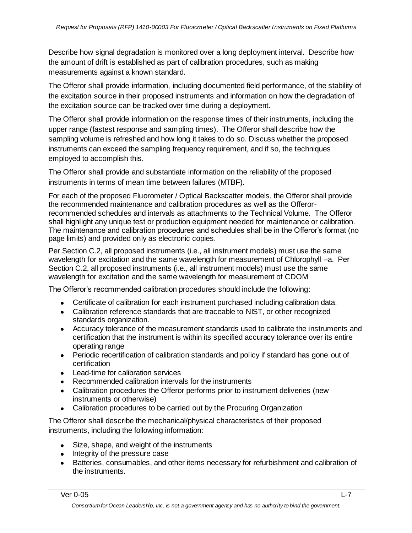Describe how signal degradation is monitored over a long deployment interval. Describe how the amount of drift is established as part of calibration procedures, such as making measurements against a known standard.

The Offeror shall provide information, including documented field performance, of the stability of the excitation source in their proposed instruments and information on how the degradation of the excitation source can be tracked over time during a deployment.

The Offeror shall provide information on the response times of their instruments, including the upper range (fastest response and sampling times). The Offeror shall describe how the sampling volume is refreshed and how long it takes to do so. Discuss whether the proposed instruments can exceed the sampling frequency requirement, and if so, the techniques employed to accomplish this.

The Offeror shall provide and substantiate information on the reliability of the proposed instruments in terms of mean time between failures (MTBF).

For each of the proposed Fluorometer / Optical Backscatter models, the Offeror shall provide the recommended maintenance and calibration procedures as well as the Offerorrecommended schedules and intervals as attachments to the Technical Volume. The Offeror shall highlight any unique test or production equipment needed for maintenance or calibration. The maintenance and calibration procedures and schedules shall be in the Offeror's format (no page limits) and provided only as electronic copies.

Per Section C.2, all proposed instruments (i.e., all instrument models) must use the same wavelength for excitation and the same wavelength for measurement of Chlorophyll –a. Per Section C.2, all proposed instruments (i.e., all instrument models) must use the same wavelength for excitation and the same wavelength for measurement of CDOM

The Offeror's recommended calibration procedures should include the following:

- Certificate of calibration for each instrument purchased including calibration data.
- Calibration reference standards that are traceable to NIST, or other recognized standards organization.
- Accuracy tolerance of the measurement standards used to calibrate the instruments and certification that the instrument is within its specified accuracy tolerance over its entire operating range
- Periodic recertification of calibration standards and policy if standard has gone out of certification
- Lead-time for calibration services
- Recommended calibration intervals for the instruments
- Calibration procedures the Offeror performs prior to instrument deliveries (new instruments or otherwise)
- Calibration procedures to be carried out by the Procuring Organization

The Offeror shall describe the mechanical/physical characteristics of their proposed instruments, including the following information:

- Size, shape, and weight of the instruments
- Integrity of the pressure case
- Batteries, consumables, and other items necessary for refurbishment and calibration of the instruments.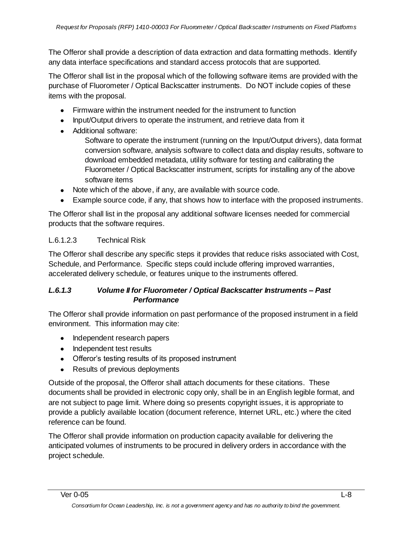The Offeror shall provide a description of data extraction and data formatting methods. Identify any data interface specifications and standard access protocols that are supported.

The Offeror shall list in the proposal which of the following software items are provided with the purchase of Fluorometer / Optical Backscatter instruments. Do NOT include copies of these items with the proposal.

- Firmware within the instrument needed for the instrument to function
- Input/Output drivers to operate the instrument, and retrieve data from it
- Additional software:

Software to operate the instrument (running on the Input/Output drivers), data format conversion software, analysis software to collect data and display results, software to download embedded metadata, utility software for testing and calibrating the Fluorometer / Optical Backscatter instrument, scripts for installing any of the above software items

- Note which of the above, if any, are available with source code.
- Example source code, if any, that shows how to interface with the proposed instruments.

The Offeror shall list in the proposal any additional software licenses needed for commercial products that the software requires.

### L.6.1.2.3 Technical Risk

The Offeror shall describe any specific steps it provides that reduce risks associated with Cost, Schedule, and Performance. Specific steps could include offering improved warranties, accelerated delivery schedule, or features unique to the instruments offered.

### *L.6.1.3 Volume II for Fluorometer / Optical Backscatter Instruments – Past Performance*

The Offeror shall provide information on past performance of the proposed instrument in a field environment. This information may cite:

- Independent research papers
- Independent test results
- Offeror's testing results of its proposed instrument
- Results of previous deployments

Outside of the proposal, the Offeror shall attach documents for these citations. These documents shall be provided in electronic copy only, shall be in an English legible format, and are not subject to page limit. Where doing so presents copyright issues, it is appropriate to provide a publicly available location (document reference, Internet URL, etc.) where the cited reference can be found.

The Offeror shall provide information on production capacity available for delivering the anticipated volumes of instruments to be procured in delivery orders in accordance with the project schedule.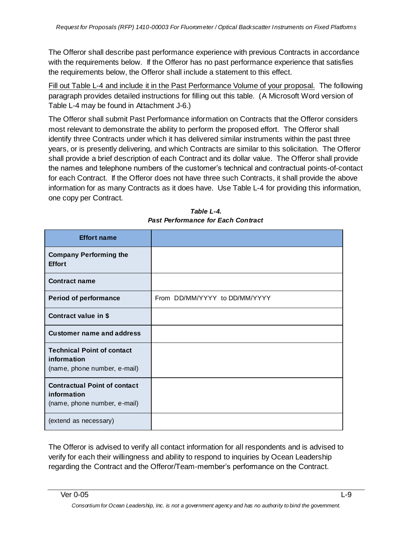The Offeror shall describe past performance experience with previous Contracts in accordance with the requirements below. If the Offeror has no past performance experience that satisfies the requirements below, the Offeror shall include a statement to this effect.

Fill out Table L-4 and include it in the Past Performance Volume of your proposal. The following paragraph provides detailed instructions for filling out this table. (A Microsoft Word version of Table L-4 may be found in Attachment J-6.)

The Offeror shall submit Past Performance information on Contracts that the Offeror considers most relevant to demonstrate the ability to perform the proposed effort. The Offeror shall identify three Contracts under which it has delivered similar instruments within the past three years, or is presently delivering, and which Contracts are similar to this solicitation. The Offeror shall provide a brief description of each Contract and its dollar value. The Offeror shall provide the names and telephone numbers of the customer's technical and contractual points-of-contact for each Contract. If the Offeror does not have three such Contracts, it shall provide the above information for as many Contracts as it does have. Use Table L-4 for providing this information, one copy per Contract.

| <b>Effort name</b>                                                                 |                               |
|------------------------------------------------------------------------------------|-------------------------------|
| <b>Company Performing the</b><br><b>Effort</b>                                     |                               |
| <b>Contract name</b>                                                               |                               |
| <b>Period of performance</b>                                                       | From DD/MM/YYYY to DD/MM/YYYY |
| Contract value in \$                                                               |                               |
| <b>Customer name and address</b>                                                   |                               |
| <b>Technical Point of contact</b><br>information<br>(name, phone number, e-mail)   |                               |
| <b>Contractual Point of contact</b><br>information<br>(name, phone number, e-mail) |                               |
| (extend as necessary)                                                              |                               |

| Table L-4.                         |
|------------------------------------|
| Past Performance for Each Contract |

The Offeror is advised to verify all contact information for all respondents and is advised to verify for each their willingness and ability to respond to inquiries by Ocean Leadership regarding the Contract and the Offeror/Team-member's performance on the Contract.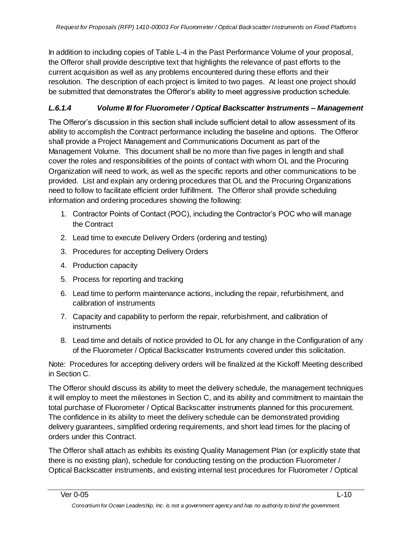In addition to including copies of Table L-4 in the Past Performance Volume of your proposal, the Offeror shall provide descriptive text that highlights the relevance of past efforts to the current acquisition as well as any problems encountered during these efforts and their resolution. The description of each project is limited to two pages. At least one project should be submitted that demonstrates the Offeror's ability to meet aggressive production schedule.

## *L.6.1.4 Volume III for Fluorometer / Optical Backscatter Instruments – Management*

The Offeror's discussion in this section shall include sufficient detail to allow assessment of its ability to accomplish the Contract performance including the baseline and options. The Offeror shall provide a Project Management and Communications Document as part of the Management Volume. This document shall be no more than five pages in length and shall cover the roles and responsibilities of the points of contact with whom OL and the Procuring Organization will need to work, as well as the specific reports and other communications to be provided. List and explain any ordering procedures that OL and the Procuring Organizations need to follow to facilitate efficient order fulfillment. The Offeror shall provide scheduling information and ordering procedures showing the following:

- 1. Contractor Points of Contact (POC), including the Contractor's POC who will manage the Contract
- 2. Lead time to execute Delivery Orders (ordering and testing)
- 3. Procedures for accepting Delivery Orders
- 4. Production capacity
- 5. Process for reporting and tracking
- 6. Lead time to perform maintenance actions, including the repair, refurbishment, and calibration of instruments
- 7. Capacity and capability to perform the repair, refurbishment, and calibration of instruments
- 8. Lead time and details of notice provided to OL for any change in the Configuration of any of the Fluorometer / Optical Backscatter Instruments covered under this solicitation.

Note: Procedures for accepting delivery orders will be finalized at the Kickoff Meeting described in Section C.

The Offeror should discuss its ability to meet the delivery schedule, the management techniques it will employ to meet the milestones in Section C, and its ability and commitment to maintain the total purchase of Fluorometer / Optical Backscatter instruments planned for this procurement. The confidence in its ability to meet the delivery schedule can be demonstrated providing delivery guarantees, simplified ordering requirements, and short lead times for the placing of orders under this Contract.

The Offeror shall attach as exhibits its existing Quality Management Plan (or explicitly state that there is no existing plan), schedule for conducting testing on the production Fluorometer / Optical Backscatter instruments, and existing internal test procedures for Fluorometer / Optical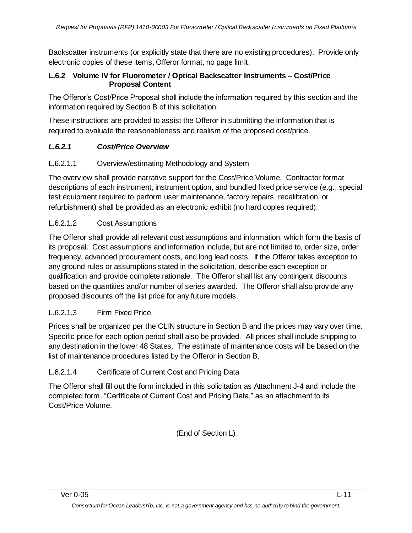Backscatter instruments (or explicitly state that there are no existing procedures). Provide only electronic copies of these items, Offeror format, no page limit.

### **L.6.2 Volume IV for Fluorometer / Optical Backscatter Instruments – Cost/Price Proposal Content**

The Offeror's Cost/Price Proposal shall include the information required by this section and the information required by Section B of this solicitation.

These instructions are provided to assist the Offeror in submitting the information that is required to evaluate the reasonableness and realism of the proposed cost/price.

## *L.6.2.1 Cost/Price Overview*

## L.6.2.1.1 Overview/estimating Methodology and System

The overview shall provide narrative support for the Cost/Price Volume. Contractor format descriptions of each instrument, instrument option, and bundled fixed price service (e.g., special test equipment required to perform user maintenance, factory repairs, recalibration, or refurbishment) shall be provided as an electronic exhibit (no hard copies required).

### L.6.2.1.2 Cost Assumptions

The Offeror shall provide all relevant cost assumptions and information, which form the basis of its proposal. Cost assumptions and information include, but are not limited to, order size, order frequency, advanced procurement costs, and long lead costs. If the Offeror takes exception to any ground rules or assumptions stated in the solicitation, describe each exception or qualification and provide complete rationale. The Offeror shall list any contingent discounts based on the quantities and/or number of series awarded. The Offeror shall also provide any proposed discounts off the list price for any future models.

## L.6.2.1.3 Firm Fixed Price

Prices shall be organized per the CLIN structure in Section B and the prices may vary over time. Specific price for each option period shall also be provided. All prices shall include shipping to any destination in the lower 48 States. The estimate of maintenance costs will be based on the list of maintenance procedures listed by the Offeror in Section B.

## L.6.2.1.4 Certificate of Current Cost and Pricing Data

The Offeror shall fill out the form included in this solicitation as Attachment J-4 and include the completed form, "Certificate of Current Cost and Pricing Data," as an attachment to its Cost/Price Volume.

(End of Section L)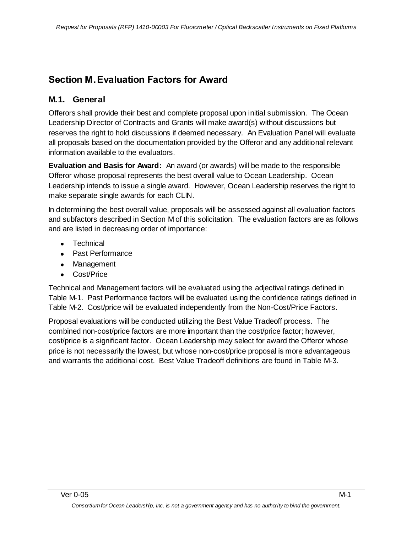# **Section M.Evaluation Factors for Award**

## **M.1. General**

Offerors shall provide their best and complete proposal upon initial submission. The Ocean Leadership Director of Contracts and Grants will make award(s) without discussions but reserves the right to hold discussions if deemed necessary. An Evaluation Panel will evaluate all proposals based on the documentation provided by the Offeror and any additional relevant information available to the evaluators.

**Evaluation and Basis for Award:** An award (or awards) will be made to the responsible Offeror whose proposal represents the best overall value to Ocean Leadership. Ocean Leadership intends to issue a single award. However, Ocean Leadership reserves the right to make separate single awards for each CLIN.

In determining the best overall value, proposals will be assessed against all evaluation factors and subfactors described in Section M of this solicitation. The evaluation factors are as follows and are listed in decreasing order of importance:

- Technical
- Past Performance
- Management
- Cost/Price

Technical and Management factors will be evaluated using the adjectival ratings defined in Table M-1. Past Performance factors will be evaluated using the confidence ratings defined in Table M-2. Cost/price will be evaluated independently from the Non-Cost/Price Factors.

Proposal evaluations will be conducted utilizing the Best Value Tradeoff process. The combined non-cost/price factors are more important than the cost/price factor; however, cost/price is a significant factor. Ocean Leadership may select for award the Offeror whose price is not necessarily the lowest, but whose non-cost/price proposal is more advantageous and warrants the additional cost. Best Value Tradeoff definitions are found in Table M-3.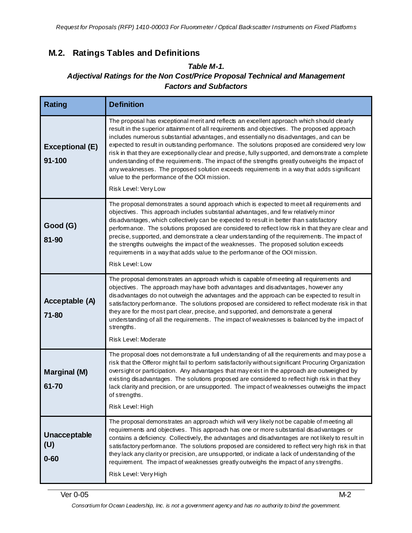## **M.2. Ratings Tables and Definitions**

## *Table M-1. Adjectival Ratings for the Non Cost/Price Proposal Technical and Management Factors and Subfactors*

| <b>Rating</b>                    | <b>Definition</b>                                                                                                                                                                                                                                                                                                                                                                                                                                                                                                                                                                                                                                                                                                                                                 |
|----------------------------------|-------------------------------------------------------------------------------------------------------------------------------------------------------------------------------------------------------------------------------------------------------------------------------------------------------------------------------------------------------------------------------------------------------------------------------------------------------------------------------------------------------------------------------------------------------------------------------------------------------------------------------------------------------------------------------------------------------------------------------------------------------------------|
| <b>Exceptional (E)</b><br>91-100 | The proposal has exceptional merit and reflects an excellent approach which should clearly<br>result in the superior attainment of all requirements and objectives. The proposed approach<br>includes numerous substantial advantages, and essentially no disadvantages, and can be<br>expected to result in outstanding performance. The solutions proposed are considered very low<br>risk in that they are exceptionally clear and precise, fully supported, and demonstrate a complete<br>understanding of the requirements. The impact of the strengths greatly outweighs the impact of<br>any weaknesses. The proposed solution exceeds requirements in a way that adds significant<br>value to the performance of the OOI mission.<br>Risk Level: Very Low |
| Good (G)<br>81-90                | The proposal demonstrates a sound approach which is expected to meet all requirements and<br>objectives. This approach includes substantial advantages, and few relatively minor<br>disadvantages, which collectively can be expected to result in better than satisfactory<br>performance. The solutions proposed are considered to reflect low risk in that they are clear and<br>precise, supported, and demonstrate a clear understanding of the requirements. The impact of<br>the strengths outweighs the impact of the weaknesses. The proposed solution exceeds<br>requirements in a way that adds value to the performance of the OOI mission.<br><b>Risk Level: Low</b>                                                                                 |
| Acceptable (A)<br>71-80          | The proposal demonstrates an approach which is capable of meeting all requirements and<br>objectives. The approach may have both advantages and disadvantages, however any<br>disadvantages do not outweigh the advantages and the approach can be expected to result in<br>satisfactory performance. The solutions proposed are considered to reflect moderate risk in that<br>they are for the most part clear, precise, and supported, and demonstrate a general<br>understanding of all the requirements. The impact of weaknesses is balanced by the impact of<br>strengths.<br>Risk Level: Moderate                                                                                                                                                         |
| <b>Marginal (M)</b><br>61-70     | The proposal does not demonstrate a full understanding of all the requirements and may pose a<br>risk that the Offeror might fail to perform satisfactorily without significant Procuring Organization<br>oversight or participation. Any advantages that may exist in the approach are outweighed by<br>existing disadvantages. The solutions proposed are considered to reflect high risk in that they<br>lack clarity and precision, or are unsupported. The impact of weaknesses outweighs the impact<br>of strengths.<br>Risk Level: High                                                                                                                                                                                                                    |
| Unacceptable<br>(U)<br>$0 - 60$  | The proposal demonstrates an approach which will very likely not be capable of meeting all<br>requirements and objectives. This approach has one or more substantial disadvantages or<br>contains a deficiency. Collectively, the advantages and disadvantages are not likely to result in<br>satisfactory performance. The solutions proposed are considered to reflect very high risk in that<br>they lack any clarity or precision, are unsupported, or indicate a lack of understanding of the<br>requirement. The impact of weaknesses greatly outweighs the impact of any strengths.<br>Risk Level: Very High                                                                                                                                               |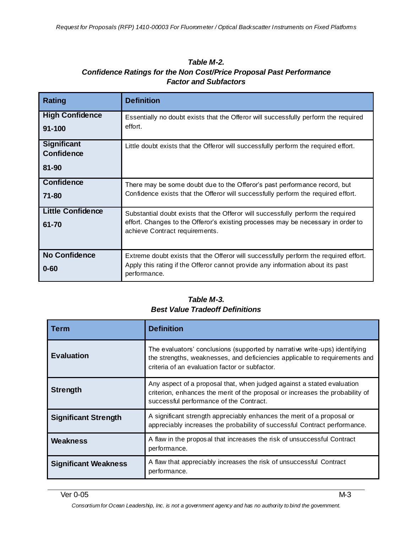#### *Table M-2. Confidence Ratings for the Non Cost/Price Proposal Past Performance Factor and Subfactors*

| Rating                                           | <b>Definition</b>                                                                                                                                                                                      |
|--------------------------------------------------|--------------------------------------------------------------------------------------------------------------------------------------------------------------------------------------------------------|
| <b>High Confidence</b><br>91-100                 | Essentially no doubt exists that the Offeror will successfully perform the required<br>effort.                                                                                                         |
| <b>Significant</b><br><b>Confidence</b><br>81-90 | Little doubt exists that the Offeror will successfully perform the required effort.                                                                                                                    |
| <b>Confidence</b><br>$71 - 80$                   | There may be some doubt due to the Offeror's past performance record, but<br>Confidence exists that the Offeror will successfully perform the required effort.                                         |
| <b>Little Confidence</b><br>61-70                | Substantial doubt exists that the Offeror will successfully perform the required<br>effort. Changes to the Offeror's existing processes may be necessary in order to<br>achieve Contract requirements. |
| <b>No Confidence</b><br>$0 - 60$                 | Extreme doubt exists that the Offeror will successfully perform the required effort.<br>Apply this rating if the Offeror cannot provide any information about its past<br>performance.                 |

## *Table M-3. Best Value Tradeoff Definitions*

| Term                        | <b>Definition</b>                                                                                                                                                                                          |
|-----------------------------|------------------------------------------------------------------------------------------------------------------------------------------------------------------------------------------------------------|
| <b>Evaluation</b>           | The evaluators' conclusions (supported by narrative write-ups) identifying<br>the strengths, weaknesses, and deficiencies applicable to requirements and<br>criteria of an evaluation factor or subfactor. |
| <b>Strength</b>             | Any aspect of a proposal that, when judged against a stated evaluation<br>criterion, enhances the merit of the proposal or increases the probability of<br>successful performance of the Contract.         |
| <b>Significant Strength</b> | A significant strength appreciably enhances the merit of a proposal or<br>appreciably increases the probability of successful Contract performance.                                                        |
| <b>Weakness</b>             | A flaw in the proposal that increases the risk of unsuccessful Contract<br>performance.                                                                                                                    |
| <b>Significant Weakness</b> | A flaw that appreciably increases the risk of unsuccessful Contract<br>performance.                                                                                                                        |

*Consortium for Ocean Leadership, Inc. is not a government agency and has no authority to bind the government.*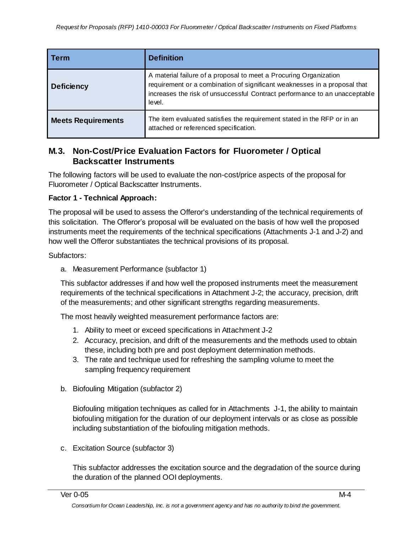| <b>Term</b>               | <b>Definition</b>                                                                                                                                                                                                                      |
|---------------------------|----------------------------------------------------------------------------------------------------------------------------------------------------------------------------------------------------------------------------------------|
| <b>Deficiency</b>         | A material failure of a proposal to meet a Procuring Organization<br>requirement or a combination of significant weaknesses in a proposal that<br>increases the risk of unsuccessful Contract performance to an unacceptable<br>level. |
| <b>Meets Requirements</b> | The item evaluated satisfies the requirement stated in the RFP or in an<br>attached or referenced specification.                                                                                                                       |

## **M.3. Non-Cost/Price Evaluation Factors for Fluorometer / Optical Backscatter Instruments**

The following factors will be used to evaluate the non-cost/price aspects of the proposal for Fluorometer / Optical Backscatter Instruments.

#### **Factor 1 - Technical Approach:**

The proposal will be used to assess the Offeror's understanding of the technical requirements of this solicitation. The Offeror's proposal will be evaluated on the basis of how well the proposed instruments meet the requirements of the technical specifications (Attachments J-1 and J-2) and how well the Offeror substantiates the technical provisions of its proposal.

Subfactors:

a. Measurement Performance (subfactor 1)

This subfactor addresses if and how well the proposed instruments meet the measurement requirements of the technical specifications in Attachment J-2; the accuracy, precision, drift of the measurements; and other significant strengths regarding measurements.

The most heavily weighted measurement performance factors are:

- 1. Ability to meet or exceed specifications in Attachment J-2
- 2. Accuracy, precision, and drift of the measurements and the methods used to obtain these, including both pre and post deployment determination methods.
- 3. The rate and technique used for refreshing the sampling volume to meet the sampling frequency requirement
- b. Biofouling Mitigation (subfactor 2)

Biofouling mitigation techniques as called for in Attachments J-1, the ability to maintain biofouling mitigation for the duration of our deployment intervals or as close as possible including substantiation of the biofouling mitigation methods.

c. Excitation Source (subfactor 3)

This subfactor addresses the excitation source and the degradation of the source during the duration of the planned OOI deployments.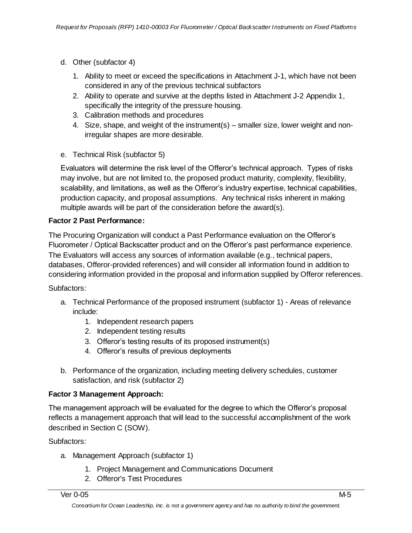- d. Other (subfactor 4)
	- 1. Ability to meet or exceed the specifications in Attachment J-1, which have not been considered in any of the previous technical subfactors
	- 2. Ability to operate and survive at the depths listed in Attachment J-2 Appendix 1, specifically the integrity of the pressure housing.
	- 3. Calibration methods and procedures
	- 4. Size, shape, and weight of the instrument(s) smaller size, lower weight and nonirregular shapes are more desirable.
- e. Technical Risk (subfactor 5)

Evaluators will determine the risk level of the Offeror's technical approach. Types of risks may involve, but are not limited to, the proposed product maturity, complexity, flexibility, scalability, and limitations, as well as the Offeror's industry expertise, technical capabilities, production capacity, and proposal assumptions. Any technical risks inherent in making multiple awards will be part of the consideration before the award(s).

## **Factor 2 Past Performance:**

The Procuring Organization will conduct a Past Performance evaluation on the Offeror's Fluorometer / Optical Backscatter product and on the Offeror's past performance experience. The Evaluators will access any sources of information available (e.g., technical papers, databases, Offeror-provided references) and will consider all information found in addition to considering information provided in the proposal and information supplied by Offeror references.

Subfactors:

- a. Technical Performance of the proposed instrument (subfactor 1) Areas of relevance include:
	- 1. Independent research papers
	- 2. Independent testing results
	- 3. Offeror's testing results of its proposed instrument(s)
	- 4. Offeror's results of previous deployments
- b. Performance of the organization, including meeting delivery schedules, customer satisfaction, and risk (subfactor 2)

## **Factor 3 Management Approach:**

The management approach will be evaluated for the degree to which the Offeror's proposal reflects a management approach that will lead to the successful accomplishment of the work described in Section C (SOW).

Subfactors:

- a. Management Approach (subfactor 1)
	- 1. Project Management and Communications Document
	- 2. Offeror's Test Procedures